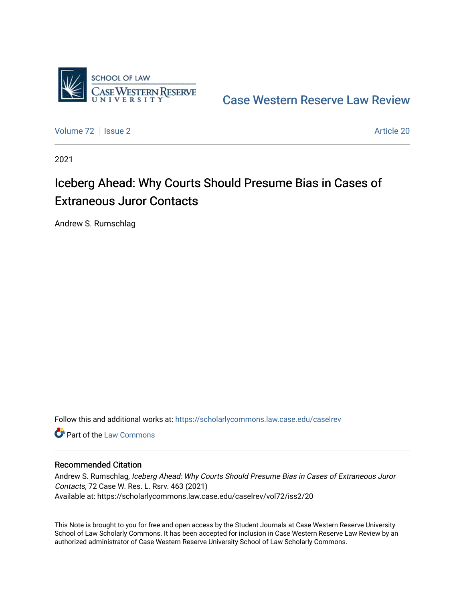

[Case Western Reserve Law Review](https://scholarlycommons.law.case.edu/caselrev) 

[Volume 72](https://scholarlycommons.law.case.edu/caselrev/vol72) | [Issue 2](https://scholarlycommons.law.case.edu/caselrev/vol72/iss2) Article 20

2021

# Iceberg Ahead: Why Courts Should Presume Bias in Cases of Extraneous Juror Contacts

Andrew S. Rumschlag

Follow this and additional works at: [https://scholarlycommons.law.case.edu/caselrev](https://scholarlycommons.law.case.edu/caselrev?utm_source=scholarlycommons.law.case.edu%2Fcaselrev%2Fvol72%2Fiss2%2F20&utm_medium=PDF&utm_campaign=PDFCoverPages)

**C** Part of the [Law Commons](https://network.bepress.com/hgg/discipline/578?utm_source=scholarlycommons.law.case.edu%2Fcaselrev%2Fvol72%2Fiss2%2F20&utm_medium=PDF&utm_campaign=PDFCoverPages)

# Recommended Citation

Andrew S. Rumschlag, Iceberg Ahead: Why Courts Should Presume Bias in Cases of Extraneous Juror Contacts, 72 Case W. Res. L. Rsrv. 463 (2021) Available at: https://scholarlycommons.law.case.edu/caselrev/vol72/iss2/20

This Note is brought to you for free and open access by the Student Journals at Case Western Reserve University School of Law Scholarly Commons. It has been accepted for inclusion in Case Western Reserve Law Review by an authorized administrator of Case Western Reserve University School of Law Scholarly Commons.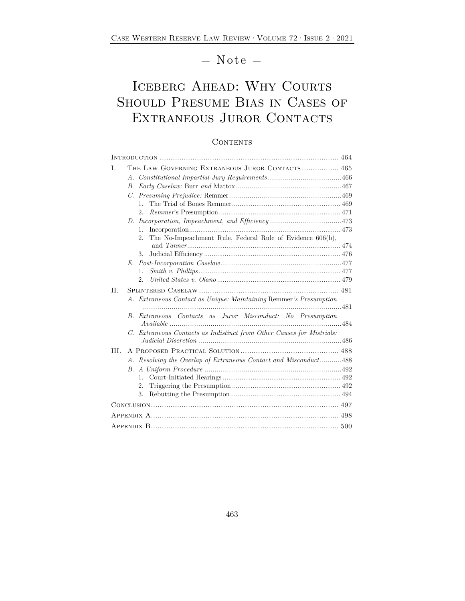— Note —

# ICEBERG AHEAD: WHY COURTS Should Presume Bias in Cases of EXTRANEOUS JUROR CONTACTS

## **CONTENTS**

| THE LAW GOVERNING EXTRANEOUS JUROR CONTACTS 465<br>T.                 |
|-----------------------------------------------------------------------|
|                                                                       |
| B.                                                                    |
| $C_{\cdot}$                                                           |
| $1_{-}$                                                               |
| $2^{\circ}$                                                           |
|                                                                       |
| $1_{-}$                                                               |
| The No-Impeachment Rule, Federal Rule of Evidence 606(b),<br>2.5      |
| 3.                                                                    |
|                                                                       |
| $\mathbf{1}$ .                                                        |
| 2.5                                                                   |
| II.                                                                   |
| A. Extraneous Contact as Unique: Maintaining Remmer's Presumption     |
| B. Extraneous Contacts as Juror Misconduct: No Presumption            |
|                                                                       |
| C. Extraneous Contacts as Indistinct from Other Causes for Mistrials: |
| III.                                                                  |
| A. Resolving the Overlap of Extraneous Contact and Misconduct488      |
| B.                                                                    |
| $\mathbf{1}$ .                                                        |
| 2.                                                                    |
| 3.                                                                    |
|                                                                       |
|                                                                       |
|                                                                       |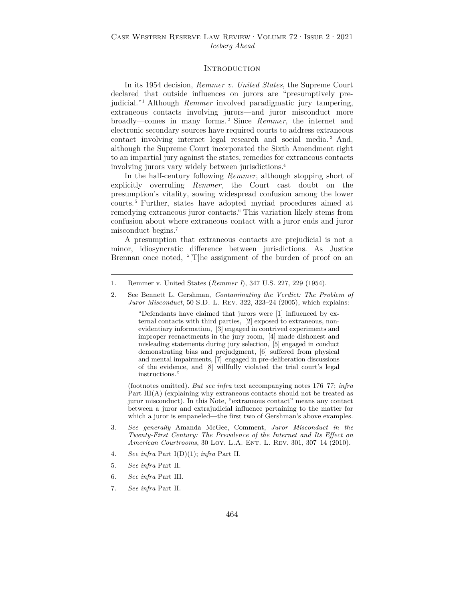## **INTRODUCTION**

In its 1954 decision, *Remmer v. United States*, the Supreme Court declared that outside influences on jurors are "presumptively prejudicial."1 Although *Remmer* involved paradigmatic jury tampering, extraneous contacts involving jurors—and juror misconduct more broadly—comes in many forms. 2 Since *Remmer*, the internet and electronic secondary sources have required courts to address extraneous contact involving internet legal research and social media. 3 And, although the Supreme Court incorporated the Sixth Amendment right to an impartial jury against the states, remedies for extraneous contacts involving jurors vary widely between jurisdictions.4

In the half-century following *Remmer*, although stopping short of explicitly overruling *Remmer*, the Court cast doubt on the presumption's vitality, sowing widespread confusion among the lower courts. 5 Further, states have adopted myriad procedures aimed at remedying extraneous juror contacts.6 This variation likely stems from confusion about where extraneous contact with a juror ends and juror misconduct begins.7

A presumption that extraneous contacts are prejudicial is not a minor, idiosyncratic difference between jurisdictions. As Justice Brennan once noted, "[T]he assignment of the burden of proof on an

"Defendants have claimed that jurors were [1] influenced by external contacts with third parties, [2] exposed to extraneous, nonevidentiary information, [3] engaged in contrived experiments and improper reenactments in the jury room, [4] made dishonest and misleading statements during jury selection, [5] engaged in conduct demonstrating bias and prejudgment, [6] suffered from physical and mental impairments, [7] engaged in pre-deliberation discussions of the evidence, and [8] willfully violated the trial court's legal instructions."

 (footnotes omitted). *But see infra* text accompanying notes 176–77; *infra* Part III(A) (explaining why extraneous contacts should not be treated as juror misconduct). In this Note, "extraneous contact" means any contact between a juror and extrajudicial influence pertaining to the matter for which a juror is empaneled—the first two of Gershman's above examples.

- 3. *See generally* Amanda McGee, Comment, *Juror Misconduct in the Twenty-First Century: The Prevalence of the Internet and Its Effect on American Courtrooms*, 30 LOY. L.A. ENT. L. REV. 301, 307-14 (2010).
- 4. *See infra* Part I(D)(1); *infra* Part II.
- 5. *See infra* Part II.
- 6. *See infra* Part III.
- 7. *See infra* Part II.

<sup>1.</sup> Remmer v. United States (*Remmer I*), 347 U.S. 227, 229 (1954).

<sup>2.</sup> See Bennett L. Gershman, *Contaminating the Verdict: The Problem of Juror Misconduct*, 50 S.D. L. Rev. 322, 323–24 (2005), which explains: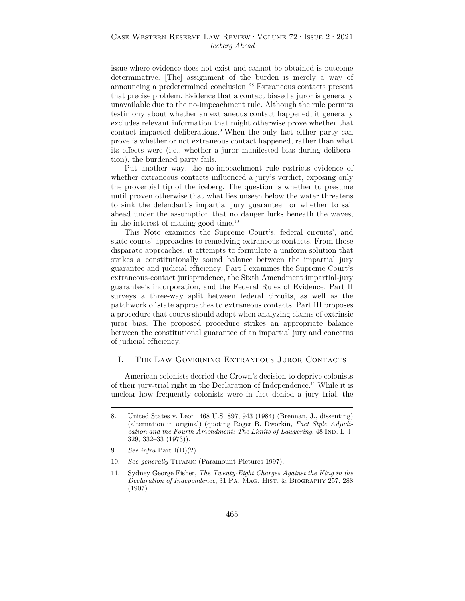issue where evidence does not exist and cannot be obtained is outcome determinative. [The] assignment of the burden is merely a way of announcing a predetermined conclusion."8 Extraneous contacts present that precise problem. Evidence that a contact biased a juror is generally unavailable due to the no-impeachment rule. Although the rule permits testimony about whether an extraneous contact happened, it generally excludes relevant information that might otherwise prove whether that contact impacted deliberations.9 When the only fact either party can prove is whether or not extraneous contact happened, rather than what its effects were (i.e., whether a juror manifested bias during deliberation), the burdened party fails.

Put another way, the no-impeachment rule restricts evidence of whether extraneous contacts influenced a jury's verdict, exposing only the proverbial tip of the iceberg. The question is whether to presume until proven otherwise that what lies unseen below the water threatens to sink the defendant's impartial jury guarantee—or whether to sail ahead under the assumption that no danger lurks beneath the waves, in the interest of making good time.10

This Note examines the Supreme Court's, federal circuits', and state courts' approaches to remedying extraneous contacts. From those disparate approaches, it attempts to formulate a uniform solution that strikes a constitutionally sound balance between the impartial jury guarantee and judicial efficiency. Part I examines the Supreme Court's extraneous-contact jurisprudence, the Sixth Amendment impartial-jury guarantee's incorporation, and the Federal Rules of Evidence. Part II surveys a three-way split between federal circuits, as well as the patchwork of state approaches to extraneous contacts. Part III proposes a procedure that courts should adopt when analyzing claims of extrinsic juror bias. The proposed procedure strikes an appropriate balance between the constitutional guarantee of an impartial jury and concerns of judicial efficiency.

## I. The Law Governing Extraneous Juror Contacts

American colonists decried the Crown's decision to deprive colonists of their jury-trial right in the Declaration of Independence.11 While it is unclear how frequently colonists were in fact denied a jury trial, the

<sup>8.</sup> United States v. Leon, 468 U.S. 897, 943 (1984) (Brennan, J., dissenting) (alternation in original) (quoting Roger B. Dworkin, *Fact Style Adjudication and the Fourth Amendment: The Limits of Lawyering*, 48 IND. L.J. 329, 332–33 (1973)).

<sup>9.</sup> *See infra* Part I(D)(2).

<sup>10.</sup> *See generally* TITANIC (Paramount Pictures 1997).

<sup>11.</sup> Sydney George Fisher, *The Twenty-Eight Charges Against the King in the Declaration of Independence*, 31 PA. MAG. HIST. & BIOGRAPHY 257, 288 (1907).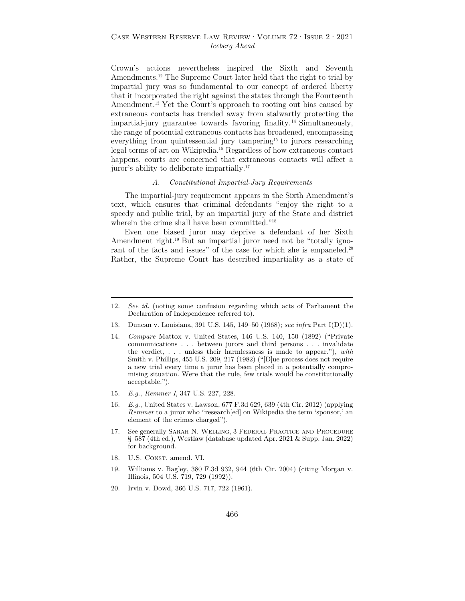Crown's actions nevertheless inspired the Sixth and Seventh Amendments.12 The Supreme Court later held that the right to trial by impartial jury was so fundamental to our concept of ordered liberty that it incorporated the right against the states through the Fourteenth Amendment.<sup>13</sup> Yet the Court's approach to rooting out bias caused by extraneous contacts has trended away from stalwartly protecting the impartial-jury guarantee towards favoring finality. 14 Simultaneously, the range of potential extraneous contacts has broadened, encompassing everything from quintessential jury tampering<sup>15</sup> to jurors researching legal terms of art on Wikipedia.16 Regardless of how extraneous contact happens, courts are concerned that extraneous contacts will affect a juror's ability to deliberate impartially.17

## *A. Constitutional Impartial-Jury Requirements*

The impartial-jury requirement appears in the Sixth Amendment's text, which ensures that criminal defendants "enjoy the right to a speedy and public trial, by an impartial jury of the State and district wherein the crime shall have been committed."18

Even one biased juror may deprive a defendant of her Sixth Amendment right.<sup>19</sup> But an impartial juror need not be "totally ignorant of the facts and issues" of the case for which she is empaneled.<sup>20</sup> Rather, the Supreme Court has described impartiality as a state of

- 13. Duncan v. Louisiana, 391 U.S. 145, 149–50 (1968); *see infra* Part I(D)(1).
- 14. *Compare* Mattox v. United States, 146 U.S. 140, 150 (1892) ("Private communications . . . between jurors and third persons . . . invalidate the verdict, . . . unless their harmlessness is made to appear."), *with* Smith v. Phillips, 455 U.S. 209, 217 (1982) ("[D]ue process does not require a new trial every time a juror has been placed in a potentially compromising situation. Were that the rule, few trials would be constitutionally acceptable.").
- 15. *E.g.*, *Remmer I*, 347 U.S. 227, 228.
- 16. *E.g.*, United States v. Lawson, 677 F.3d 629, 639 (4th Cir. 2012) (applying *Remmer* to a juror who "research[ed] on Wikipedia the term 'sponsor,' an element of the crimes charged").
- 17. See generally Sarah N. Welling, 3 Federal Practice and Procedure § 587 (4th ed.), Westlaw (database updated Apr. 2021 & Supp. Jan. 2022) for background.
- 18. U.S. CONST. amend. VI.
- 19. Williams v. Bagley, 380 F.3d 932, 944 (6th Cir. 2004) (citing Morgan v. Illinois, 504 U.S. 719, 729 (1992)).
- 20. Irvin v. Dowd, 366 U.S. 717, 722 (1961).

<sup>12.</sup> *See id.* (noting some confusion regarding which acts of Parliament the Declaration of Independence referred to).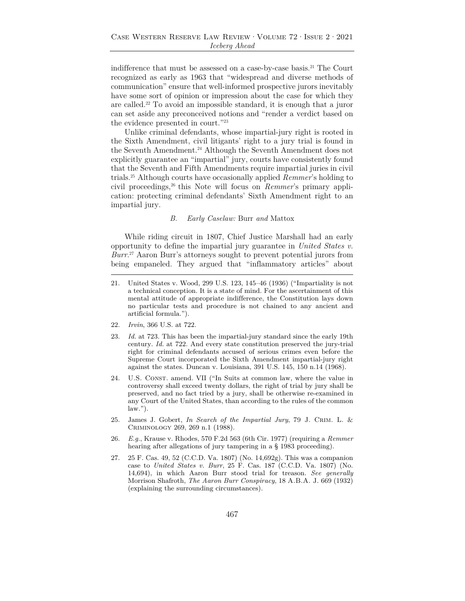indifference that must be assessed on a case-by-case basis.21 The Court recognized as early as 1963 that "widespread and diverse methods of communication" ensure that well-informed prospective jurors inevitably have some sort of opinion or impression about the case for which they are called.22 To avoid an impossible standard, it is enough that a juror can set aside any preconceived notions and "render a verdict based on the evidence presented in court."23

Unlike criminal defendants, whose impartial-jury right is rooted in the Sixth Amendment, civil litigants' right to a jury trial is found in the Seventh Amendment.<sup>24</sup> Although the Seventh Amendment does not explicitly guarantee an "impartial" jury, courts have consistently found that the Seventh and Fifth Amendments require impartial juries in civil trials.25 Although courts have occasionally applied *Remmer*'s holding to civil proceedings,26 this Note will focus on *Remmer*'s primary application: protecting criminal defendants' Sixth Amendment right to an impartial jury.

#### *B. Early Caselaw:* Burr *and* Mattox

While riding circuit in 1807, Chief Justice Marshall had an early opportunity to define the impartial jury guarantee in *United States v. Burr*. 27 Aaron Burr's attorneys sought to prevent potential jurors from being empaneled. They argued that "inflammatory articles" about

- 22. *Irvin*, 366 U.S. at 722.
- 23. *Id.* at 723. This has been the impartial-jury standard since the early 19th century. *Id.* at 722. And every state constitution preserved the jury-trial right for criminal defendants accused of serious crimes even before the Supreme Court incorporated the Sixth Amendment impartial-jury right against the states. Duncan v. Louisiana, 391 U.S. 145, 150 n.14 (1968).
- 24. U.S. Const. amend. VII ("In Suits at common law, where the value in controversy shall exceed twenty dollars, the right of trial by jury shall be preserved, and no fact tried by a jury, shall be otherwise re-examined in any Court of the United States, than according to the rules of the common  $law."$ ).
- 25. James J. Gobert, *In Search of the Impartial Jury*, 79 J. Crim. L. & Criminology 269, 269 n.1 (1988).
- 26. *E.g.*, Krause v. Rhodes, 570 F.2d 563 (6th Cir. 1977) (requiring a *Remmer* hearing after allegations of jury tampering in a § 1983 proceeding).
- 27. 25 F. Cas. 49, 52 (C.C.D. Va. 1807) (No. 14,692g). This was a companion case to *United States v. Burr*, 25 F. Cas. 187 (C.C.D. Va. 1807) (No. 14,694), in which Aaron Burr stood trial for treason. *See generally* Morrison Shafroth, *The Aaron Burr Conspiracy*, 18 A.B.A. J. 669 (1932) (explaining the surrounding circumstances).

<sup>21.</sup> United States v. Wood, 299 U.S. 123, 145–46 (1936) ("Impartiality is not a technical conception. It is a state of mind. For the ascertainment of this mental attitude of appropriate indifference, the Constitution lays down no particular tests and procedure is not chained to any ancient and artificial formula.").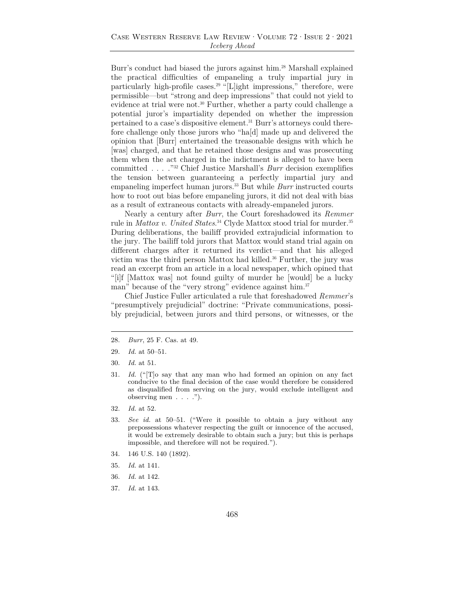## Case Western Reserve Law Review·Volume 72·Issue 2·2021 *Iceberg Ahead*

Burr's conduct had biased the jurors against him.28 Marshall explained the practical difficulties of empaneling a truly impartial jury in particularly high-profile cases.<sup>29</sup> "[L]ight impressions," therefore, were permissible—but "strong and deep impressions" that could not yield to evidence at trial were not.<sup>30</sup> Further, whether a party could challenge a potential juror's impartiality depended on whether the impression pertained to a case's dispositive element.31 Burr's attorneys could therefore challenge only those jurors who "ha[d] made up and delivered the opinion that [Burr] entertained the treasonable designs with which he [was] charged, and that he retained those designs and was prosecuting them when the act charged in the indictment is alleged to have been committed . . . ."32 Chief Justice Marshall's *Burr* decision exemplifies the tension between guaranteeing a perfectly impartial jury and empaneling imperfect human jurors.<sup>33</sup> But while *Burr* instructed courts how to root out bias before empaneling jurors, it did not deal with bias as a result of extraneous contacts with already-empaneled jurors.

Nearly a century after *Burr*, the Court foreshadowed its *Remmer* rule in *Mattox v. United States*. 34 Clyde Mattox stood trial for murder.35 During deliberations, the bailiff provided extrajudicial information to the jury. The bailiff told jurors that Mattox would stand trial again on different charges after it returned its verdict—and that his alleged victim was the third person Mattox had killed.<sup>36</sup> Further, the jury was read an excerpt from an article in a local newspaper, which opined that "[i]f [Mattox was] not found guilty of murder he [would] be a lucky man" because of the "very strong" evidence against him.<sup>37</sup>

Chief Justice Fuller articulated a rule that foreshadowed *Remmer*'s "presumptively prejudicial" doctrine: "Private communications, possibly prejudicial, between jurors and third persons, or witnesses, or the

- 28. *Burr*, 25 F. Cas. at 49.
- 29. *Id.* at 50–51.
- 30. *Id.* at 51.
- 31. *Id.* ("[T]o say that any man who had formed an opinion on any fact conducive to the final decision of the case would therefore be considered as disqualified from serving on the jury, would exclude intelligent and observing men . . . .").
- 32. *Id.* at 52.
- 33. *See id.* at 50–51. ("Were it possible to obtain a jury without any prepossessions whatever respecting the guilt or innocence of the accused, it would be extremely desirable to obtain such a jury; but this is perhaps impossible, and therefore will not be required.").
- 34. 146 U.S. 140 (1892).
- 35. *Id.* at 141.
- 36. *Id.* at 142.
- 37. *Id.* at 143.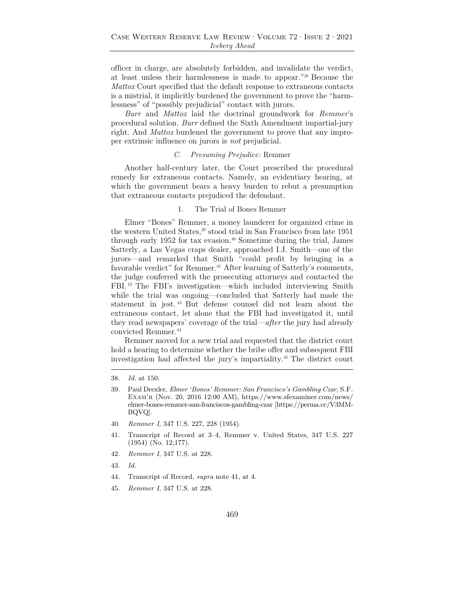officer in charge, are absolutely forbidden, and invalidate the verdict, at least unless their harmlessness is made to appear."38 Because the *Mattox* Court specified that the default response to extraneous contacts is a mistrial, it implicitly burdened the government to prove the "harmlessness" of "possibly prejudicial" contact with jurors.

*Burr* and *Mattox* laid the doctrinal groundwork for *Remmer*'s procedural solution. *Burr* defined the Sixth Amendment impartial-jury right. And *Mattox* burdened the government to prove that any improper extrinsic influence on jurors is *not* prejudicial.

## *C. Presuming Prejudice:* Remmer

Another half-century later, the Court prescribed the procedural remedy for extraneous contacts. Namely, an evidentiary hearing, at which the government bears a heavy burden to rebut a presumption that extraneous contacts prejudiced the defendant.

#### 1. The Trial of Bones Remmer

Elmer "Bones" Remmer, a money launderer for organized crime in the western United States,<sup>39</sup> stood trial in San Francisco from late 1951 through early 1952 for tax evasion.40 Sometime during the trial, James Satterly, a Las Vegas craps dealer, approached I.J. Smith—one of the jurors—and remarked that Smith "could profit by bringing in a favorable verdict" for Remmer.<sup>41</sup> After learning of Satterly's comments, the judge conferred with the prosecuting attorneys and contacted the FBI. 42 The FBI's investigation—which included interviewing Smith while the trial was ongoing—concluded that Satterly had made the statement in jest. 43 But defense counsel did not learn about the extraneous contact, let alone that the FBI had investigated it, until they read newspapers' coverage of the trial—*after* the jury had already convicted Remmer.44

Remmer moved for a new trial and requested that the district court hold a hearing to determine whether the bribe offer and subsequent FBI investigation had affected the jury's impartiality.45 The district court

- 40. *Remmer I*, 347 U.S. 227, 228 (1954).
- 41. Transcript of Record at 3–4, Remmer v. United States, 347 U.S. 227 (1954) (No. 12,177).
- 42. *Remmer I*, 347 U.S. at 228.
- 43. *Id.*
- 44. Transcript of Record, *supra* note 41, at 4.
- 45. *Remmer I*, 347 U.S. at 228.

<sup>38.</sup> *Id.* at 150.

<sup>39.</sup> Paul Drexler, *Elmer 'Bones' Remmer: San Francisco's Gambling Czar*, S.F. EXAM'R (Nov. 20, 2016 12:00 AM), https://www.sfexaminer.com/news/ elmer-bones-remmer-san-franciscos-gambling-czar [https://perma.cc/V3MM-BQVQ].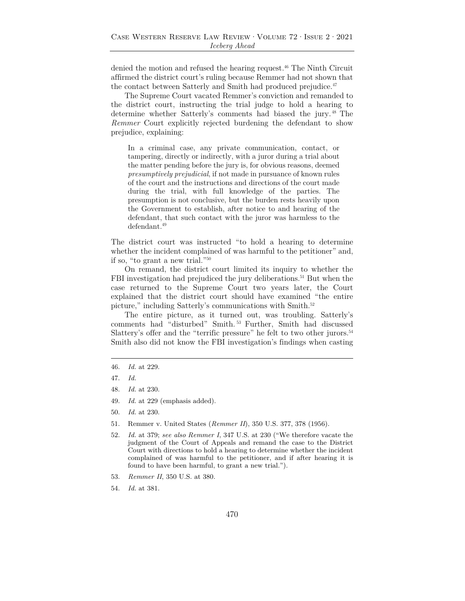denied the motion and refused the hearing request.46 The Ninth Circuit affirmed the district court's ruling because Remmer had not shown that the contact between Satterly and Smith had produced prejudice.<sup>47</sup>

The Supreme Court vacated Remmer's conviction and remanded to the district court, instructing the trial judge to hold a hearing to determine whether Satterly's comments had biased the jury. 48 The *Remmer* Court explicitly rejected burdening the defendant to show prejudice, explaining:

In a criminal case, any private communication, contact, or tampering, directly or indirectly, with a juror during a trial about the matter pending before the jury is, for obvious reasons, deemed *presumptively prejudicial*, if not made in pursuance of known rules of the court and the instructions and directions of the court made during the trial, with full knowledge of the parties. The presumption is not conclusive, but the burden rests heavily upon the Government to establish, after notice to and hearing of the defendant, that such contact with the juror was harmless to the defendant.49

The district court was instructed "to hold a hearing to determine whether the incident complained of was harmful to the petitioner" and, if so, "to grant a new trial."50

 On remand, the district court limited its inquiry to whether the FBI investigation had prejudiced the jury deliberations.<sup>51</sup> But when the case returned to the Supreme Court two years later, the Court explained that the district court should have examined "the entire picture," including Satterly's communications with Smith.<sup>52</sup>

The entire picture, as it turned out, was troubling. Satterly's comments had "disturbed" Smith. 53 Further, Smith had discussed Slattery's offer and the "terrific pressure" he felt to two other jurors.<sup>54</sup> Smith also did not know the FBI investigation's findings when casting

- 49. *Id.* at 229 (emphasis added).
- 50. *Id.* at 230.
- 51. Remmer v. United States (*Remmer II*), 350 U.S. 377, 378 (1956).
- 52. *Id.* at 379; *see also Remmer I*, 347 U.S. at 230 ("We therefore vacate the judgment of the Court of Appeals and remand the case to the District Court with directions to hold a hearing to determine whether the incident complained of was harmful to the petitioner, and if after hearing it is found to have been harmful, to grant a new trial.").
- 53. *Remmer II*, 350 U.S. at 380.
- 54. *Id.* at 381.

<sup>46.</sup> *Id.* at 229.

<sup>47.</sup> *Id.*

<sup>48.</sup> *Id.* at 230.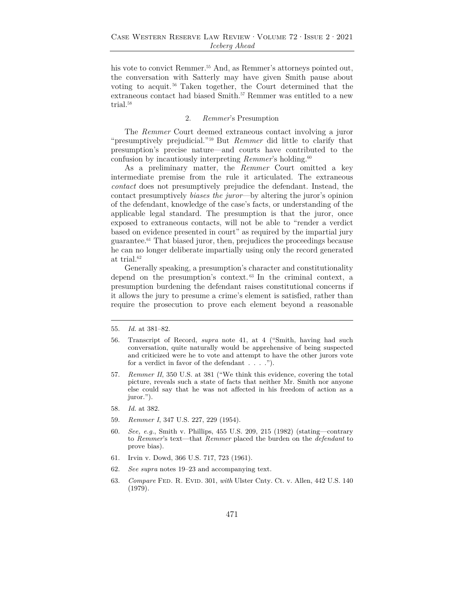his vote to convict Remmer.<sup>55</sup> And, as Remmer's attorneys pointed out, the conversation with Satterly may have given Smith pause about voting to acquit. 56 Taken together, the Court determined that the extraneous contact had biased Smith.<sup>57</sup> Remmer was entitled to a new trial.<sup>58</sup>

#### 2. *Remmer*'s Presumption

The *Remmer* Court deemed extraneous contact involving a juror "presumptively prejudicial."59 But *Remmer* did little to clarify that presumption's precise nature—and courts have contributed to the confusion by incautiously interpreting *Remmer*'s holding.<sup>60</sup>

As a preliminary matter, the *Remmer* Court omitted a key intermediate premise from the rule it articulated. The extraneous *contact* does not presumptively prejudice the defendant. Instead, the contact presumptively *biases the juror*—by altering the juror's opinion of the defendant, knowledge of the case's facts, or understanding of the applicable legal standard. The presumption is that the juror, once exposed to extraneous contacts, will not be able to "render a verdict based on evidence presented in court" as required by the impartial jury guarantee.61 That biased juror, then, prejudices the proceedings because he can no longer deliberate impartially using only the record generated at trial.<sup>62</sup>

Generally speaking, a presumption's character and constitutionality depend on the presumption's context. 63 In the criminal context, a presumption burdening the defendant raises constitutional concerns if it allows the jury to presume a crime's element is satisfied, rather than require the prosecution to prove each element beyond a reasonable

- 59. *Remmer I*, 347 U.S. 227, 229 (1954).
- 60. *See, e.g.*, Smith v. Phillips, 455 U.S. 209, 215 (1982) (stating—contrary to *Remmer*'s text—that *Remmer* placed the burden on the *defendant* to prove bias).
- 61. Irvin v. Dowd, 366 U.S. 717, 723 (1961).
- 62. *See supra* notes 19–23 and accompanying text.
- 63. *Compare* Fed. R. Evid. 301, *with* Ulster Cnty. Ct. v. Allen, 442 U.S. 140 (1979).

<sup>55.</sup> *Id.* at 381–82.

<sup>56.</sup> Transcript of Record, *supra* note 41, at 4 ("Smith, having had such conversation, quite naturally would be apprehensive of being suspected and criticized were he to vote and attempt to have the other jurors vote for a verdict in favor of the defendant  $\dots$  ...").

<sup>57.</sup> *Remmer II*, 350 U.S. at 381 ("We think this evidence, covering the total picture, reveals such a state of facts that neither Mr. Smith nor anyone else could say that he was not affected in his freedom of action as a juror.").

<sup>58.</sup> *Id.* at 382.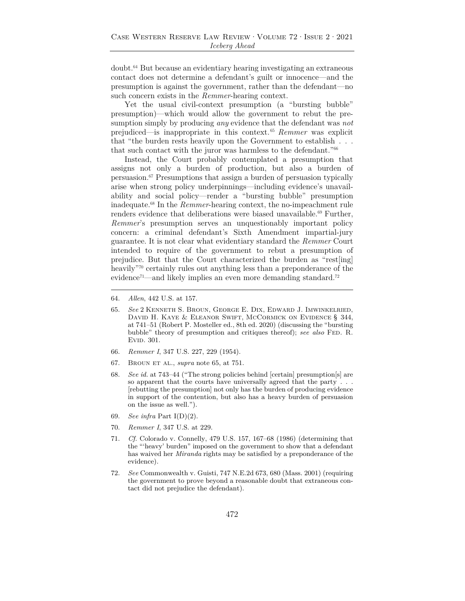doubt.64 But because an evidentiary hearing investigating an extraneous contact does not determine a defendant's guilt or innocence—and the presumption is against the government, rather than the defendant—no such concern exists in the *Remmer*-hearing context.

Yet the usual civil-context presumption (a "bursting bubble" presumption)—which would allow the government to rebut the presumption simply by producing *any* evidence that the defendant was *not* prejudiced—is inappropriate in this context. <sup>65</sup> *Remmer* was explicit that "the burden rests heavily upon the Government to establish . . . that such contact with the juror was harmless to the defendant."66

Instead, the Court probably contemplated a presumption that assigns not only a burden of production, but also a burden of persuasion.67 Presumptions that assign a burden of persuasion typically arise when strong policy underpinnings—including evidence's unavailability and social policy—render a "bursting bubble" presumption inadequate.68 In the *Remmer*-hearing context, the no-impeachment rule renders evidence that deliberations were biased unavailable.<sup>69</sup> Further, *Remmer*'s presumption serves an unquestionably important policy concern: a criminal defendant's Sixth Amendment impartial-jury guarantee. It is not clear what evidentiary standard the *Remmer* Court intended to require of the government to rebut a presumption of prejudice. But that the Court characterized the burden as "rest[ing] heavily<sup>"70</sup> certainly rules out anything less than a preponderance of the evidence<sup>71</sup>—and likely implies an even more demanding standard.<sup>72</sup>

- 65. *See* 2 Kenneth S. Broun, George E. Dix, Edward J. Imwinkelried, David H. Kaye & Eleanor Swift, McCormick on Evidence § 344, at 741–51 (Robert P. Mosteller ed., 8th ed. 2020) (discussing the "bursting bubble" theory of presumption and critiques thereof); *see also* Fed. R. EVID. 301.
- 66. *Remmer I*, 347 U.S. 227, 229 (1954).
- 67. Broun et al., *supra* note 65, at 751.
- 68. *See id.* at 743–44 ("The strong policies behind [certain] presumption[s] are so apparent that the courts have universally agreed that the party . . . [rebutting the presumption] not only has the burden of producing evidence in support of the contention, but also has a heavy burden of persuasion on the issue as well.").
- 69. *See infra* Part I(D)(2).
- 70. *Remmer I*, 347 U.S. at 229.
- 71. *Cf.* Colorado v. Connelly, 479 U.S. 157, 167–68 (1986) (determining that the "'heavy' burden" imposed on the government to show that a defendant has waived her *Miranda* rights may be satisfied by a preponderance of the evidence).
- 72. *See* Commonwealth v. Guisti, 747 N.E.2d 673, 680 (Mass. 2001) (requiring the government to prove beyond a reasonable doubt that extraneous contact did not prejudice the defendant).

<sup>64.</sup> *Allen*, 442 U.S. at 157.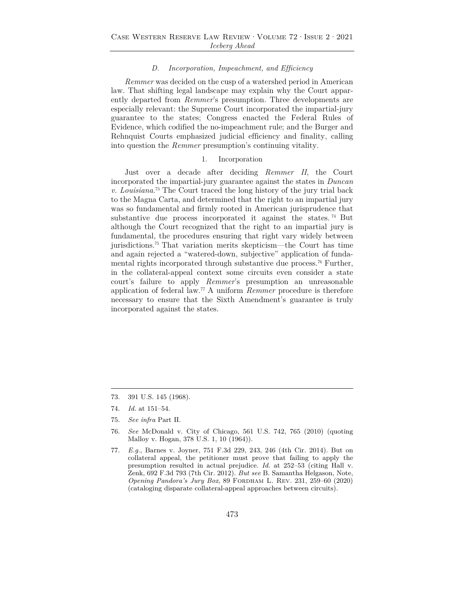## *D. Incorporation, Impeachment, and Efficiency*

*Remmer* was decided on the cusp of a watershed period in American law. That shifting legal landscape may explain why the Court apparently departed from *Remmer*'s presumption. Three developments are especially relevant: the Supreme Court incorporated the impartial-jury guarantee to the states; Congress enacted the Federal Rules of Evidence, which codified the no-impeachment rule; and the Burger and Rehnquist Courts emphasized judicial efficiency and finality, calling into question the *Remmer* presumption's continuing vitality.

## 1. Incorporation

Just over a decade after deciding *Remmer II*, the Court incorporated the impartial-jury guarantee against the states in *Duncan v. Louisiana*. 73 The Court traced the long history of the jury trial back to the Magna Carta, and determined that the right to an impartial jury was so fundamental and firmly rooted in American jurisprudence that substantive due process incorporated it against the states.<sup>74</sup> But although the Court recognized that the right to an impartial jury is fundamental, the procedures ensuring that right vary widely between jurisdictions.75 That variation merits skepticism—the Court has time and again rejected a "watered-down, subjective" application of fundamental rights incorporated through substantive due process.<sup>76</sup> Further, in the collateral-appeal context some circuits even consider a state court's failure to apply *Remmer*'s presumption an unreasonable application of federal law.77 A uniform *Remmer* procedure is therefore necessary to ensure that the Sixth Amendment's guarantee is truly incorporated against the states.

<sup>73. 391</sup> U.S. 145 (1968).

<sup>74.</sup> *Id.* at 151–54.

<sup>75.</sup> *See infra* Part II.

<sup>76.</sup> *See* McDonald v. City of Chicago, 561 U.S. 742, 765 (2010) (quoting Malloy v. Hogan, 378 U.S. 1, 10 (1964)).

<sup>77.</sup> *E.g.*, Barnes v. Joyner, 751 F.3d 229, 243, 246 (4th Cir. 2014). But on collateral appeal, the petitioner must prove that failing to apply the presumption resulted in actual prejudice. *Id.* at 252–53 (citing Hall v. Zenk, 692 F.3d 793 (7th Cir. 2012). *But see* B. Samantha Helgason, Note, *Opening Pandora's Jury Box*, 89 Fordham L. Rev. 231, 259–60 (2020) (cataloging disparate collateral-appeal approaches between circuits).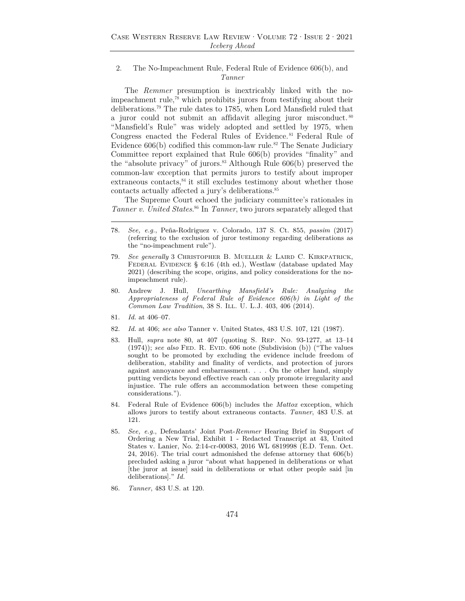## 2. The No-Impeachment Rule, Federal Rule of Evidence 606(b), and *Tanner*

The *Remmer* presumption is inextricably linked with the noimpeachment rule,78 which prohibits jurors from testifying about their deliberations.79 The rule dates to 1785, when Lord Mansfield ruled that a juror could not submit an affidavit alleging juror misconduct. <sup>80</sup> "Mansfield's Rule" was widely adopted and settled by 1975, when Congress enacted the Federal Rules of Evidence. 81 Federal Rule of Evidence  $606(b)$  codified this common-law rule.<sup>82</sup> The Senate Judiciary Committee report explained that Rule 606(b) provides "finality" and the "absolute privacy" of jurors.<sup>83</sup> Although Rule  $606(b)$  preserved the common-law exception that permits jurors to testify about improper  $extaneous contacts<sup>84</sup>$  it still excludes testimony about whether those contacts actually affected a jury's deliberations.<sup>85</sup>

The Supreme Court echoed the judiciary committee's rationales in *Tanner v. United States*. 86 In *Tanner*, two jurors separately alleged that

- 78. *See, e.g.*, Peña-Rodriguez v. Colorado, 137 S. Ct. 855, *passim* (2017) (referring to the exclusion of juror testimony regarding deliberations as the "no-impeachment rule").
- 79. *See generally* 3 Christopher B. Mueller & Laird C. Kirkpatrick, Federal Evidence § 6:16 (4th ed.), Westlaw (database updated May 2021) (describing the scope, origins, and policy considerations for the noimpeachment rule).
- 80. Andrew J. Hull, *Unearthing Mansfield's Rule: Analyzing the Appropriateness of Federal Rule of Evidence 606(b) in Light of the Common Law Tradition*, 38 S. ILL. U. L.J. 403, 406 (2014).
- 81. *Id.* at 406–07.
- 82. *Id.* at 406; *see also* Tanner v. United States, 483 U.S. 107, 121 (1987).
- 83. Hull, *supra* note 80, at 407 (quoting S. Rep. No. 93-1277, at 13–14 (1974)); *see also* Fed. R. Evid. 606 note (Subdivision (b)) ("The values sought to be promoted by excluding the evidence include freedom of deliberation, stability and finality of verdicts, and protection of jurors against annoyance and embarrassment. . . . On the other hand, simply putting verdicts beyond effective reach can only promote irregularity and injustice. The rule offers an accommodation between these competing considerations.").
- 84. Federal Rule of Evidence 606(b) includes the *Mattox* exception, which allows jurors to testify about extraneous contacts. *Tanner*, 483 U.S. at 121.
- 85. *See, e.g.*, Defendants' Joint Post-*Remmer* Hearing Brief in Support of Ordering a New Trial, Exhibit 1 - Redacted Transcript at 43, United States v. Lanier, No. 2:14-cr-00083, 2016 WL 6819998 (E.D. Tenn. Oct. 24, 2016). The trial court admonished the defense attorney that 606(b) precluded asking a juror "about what happened in deliberations or what [the juror at issue] said in deliberations or what other people said [in deliberations]." *Id.*
- 86. *Tanner*, 483 U.S. at 120.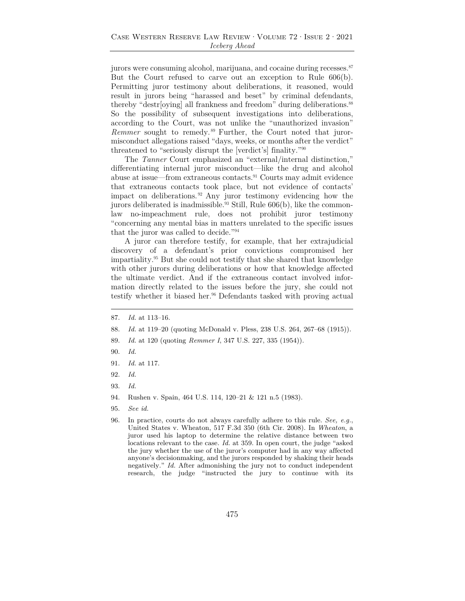jurors were consuming alcohol, marijuana, and cocaine during recesses.<sup>87</sup> But the Court refused to carve out an exception to Rule 606(b). Permitting juror testimony about deliberations, it reasoned, would result in jurors being "harassed and beset" by criminal defendants, thereby "destr[oying] all frankness and freedom" during deliberations.88 So the possibility of subsequent investigations into deliberations, according to the Court, was not unlike the "unauthorized invasion" *Remmer* sought to remedy. 89 Further, the Court noted that jurormisconduct allegations raised "days, weeks, or months after the verdict" threatened to "seriously disrupt the [verdict's] finality."90

The *Tanner* Court emphasized an "external/internal distinction," differentiating internal juror misconduct—like the drug and alcohol abuse at issue—from extraneous contacts.91 Courts may admit evidence that extraneous contacts took place, but not evidence of contacts' impact on deliberations. 92 Any juror testimony evidencing how the jurors deliberated is inadmissible.<sup>93</sup> Still, Rule  $606(b)$ , like the commonlaw no-impeachment rule, does not prohibit juror testimony "concerning any mental bias in matters unrelated to the specific issues that the juror was called to decide."94

A juror can therefore testify, for example, that her extrajudicial discovery of a defendant's prior convictions compromised her impartiality.95 But she could not testify that she shared that knowledge with other jurors during deliberations or how that knowledge affected the ultimate verdict. And if the extraneous contact involved information directly related to the issues before the jury, she could not testify whether it biased her. $96$  Defendants tasked with proving actual

- 87. *Id.* at 113–16.
- 88. *Id.* at 119–20 (quoting McDonald v. Pless, 238 U.S. 264, 267–68 (1915)).
- 89. *Id.* at 120 (quoting *Remmer I*, 347 U.S. 227, 335 (1954)).
- 90. *Id.*
- 91. *Id.* at 117.
- 92. *Id.*
- 93. *Id.*
- 94. Rushen v. Spain, 464 U.S. 114, 120–21 & 121 n.5 (1983).
- 95. *See id.*
- 96. In practice, courts do not always carefully adhere to this rule. *See, e.g.*, United States v. Wheaton, 517 F.3d 350 (6th Cir. 2008). In *Wheaton*, a juror used his laptop to determine the relative distance between two locations relevant to the case. *Id.* at 359. In open court, the judge "asked the jury whether the use of the juror's computer had in any way affected anyone's decisionmaking, and the jurors responded by shaking their heads negatively." *Id.* After admonishing the jury not to conduct independent research, the judge "instructed the jury to continue with its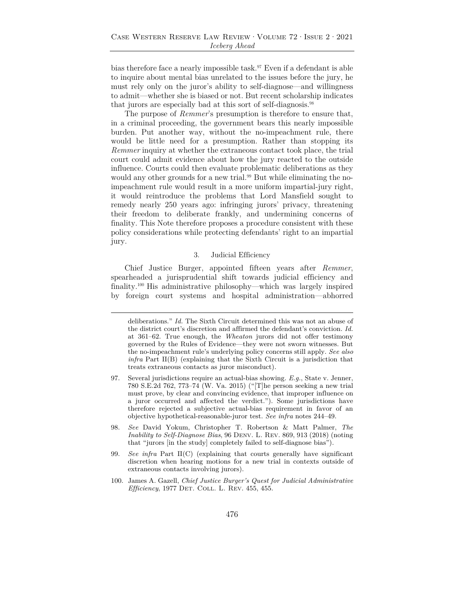bias therefore face a nearly impossible task.<sup>97</sup> Even if a defendant is able to inquire about mental bias unrelated to the issues before the jury, he must rely only on the juror's ability to self-diagnose—and willingness to admit—whether she is biased or not. But recent scholarship indicates that jurors are especially bad at this sort of self-diagnosis.98

The purpose of *Remmer*'s presumption is therefore to ensure that, in a criminal proceeding, the government bears this nearly impossible burden. Put another way, without the no-impeachment rule, there would be little need for a presumption. Rather than stopping its *Remmer* inquiry at whether the extraneous contact took place, the trial court could admit evidence about how the jury reacted to the outside influence. Courts could then evaluate problematic deliberations as they would any other grounds for a new trial.<sup>99</sup> But while eliminating the noimpeachment rule would result in a more uniform impartial-jury right, it would reintroduce the problems that Lord Mansfield sought to remedy nearly 250 years ago: infringing jurors' privacy, threatening their freedom to deliberate frankly, and undermining concerns of finality. This Note therefore proposes a procedure consistent with these policy considerations while protecting defendants' right to an impartial jury.

#### 3. Judicial Efficiency

Chief Justice Burger, appointed fifteen years after *Remmer*, spearheaded a jurisprudential shift towards judicial efficiency and finality.100 His administrative philosophy—which was largely inspired by foreign court systems and hospital administration—abhorred

deliberations." *Id.* The Sixth Circuit determined this was not an abuse of the district court's discretion and affirmed the defendant's conviction. *Id.* at 361–62. True enough, the *Wheaton* jurors did not offer testimony governed by the Rules of Evidence—they were not sworn witnesses. But the no-impeachment rule's underlying policy concerns still apply. *See also infra* Part II(B) (explaining that the Sixth Circuit is a jurisdiction that treats extraneous contacts as juror misconduct).

<sup>97.</sup> Several jurisdictions require an actual-bias showing. *E.g.*, State v. Jenner, 780 S.E.2d 762, 773–74 (W. Va. 2015) ("[T]he person seeking a new trial must prove, by clear and convincing evidence, that improper influence on a juror occurred and affected the verdict."). Some jurisdictions have therefore rejected a subjective actual-bias requirement in favor of an objective hypothetical-reasonable-juror test. *See infra* notes 244–49.

<sup>98.</sup> *See* David Yokum, Christopher T. Robertson & Matt Palmer, *The Inability to Self-Diagnose Bias*, 96 Denv. L. Rev. 869, 913 (2018) (noting that "jurors [in the study] completely failed to self-diagnose bias").

<sup>99.</sup> *See infra* Part II(C) (explaining that courts generally have significant discretion when hearing motions for a new trial in contexts outside of extraneous contacts involving jurors).

<sup>100.</sup> James A. Gazell, *Chief Justice Burger's Quest for Judicial Administrative Efficiency*, 1977 Det. Coll. L. Rev. 455, 455.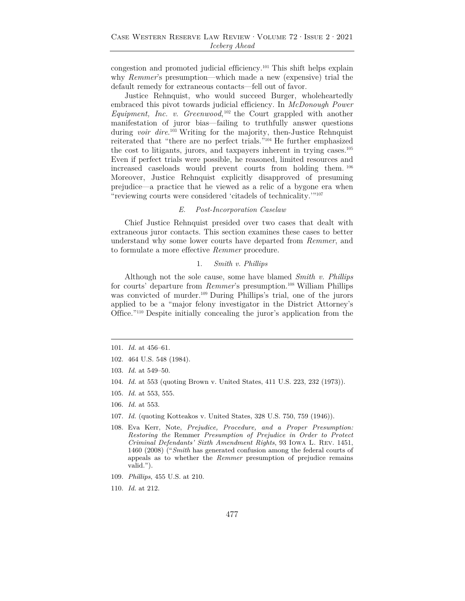congestion and promoted judicial efficiency.101 This shift helps explain why *Remmer*'s presumption—which made a new (expensive) trial the default remedy for extraneous contacts—fell out of favor.

Justice Rehnquist, who would succeed Burger, wholeheartedly embraced this pivot towards judicial efficiency. In *McDonough Power Equipment, Inc. v. Greenwood*, 102 the Court grappled with another manifestation of juror bias—failing to truthfully answer questions during *voir dire*. 103 Writing for the majority, then-Justice Rehnquist reiterated that "there are no perfect trials."104 He further emphasized the cost to litigants, jurors, and taxpayers inherent in trying cases.105 Even if perfect trials were possible, he reasoned, limited resources and increased caseloads would prevent courts from holding them. <sup>106</sup> Moreover, Justice Rehnquist explicitly disapproved of presuming prejudice—a practice that he viewed as a relic of a bygone era when "reviewing courts were considered 'citadels of technicality.'"107

#### *E. Post-Incorporation Caselaw*

Chief Justice Rehnquist presided over two cases that dealt with extraneous juror contacts. This section examines these cases to better understand why some lower courts have departed from *Remmer*, and to formulate a more effective *Remmer* procedure.

#### 1. *Smith v. Phillips*

Although not the sole cause, some have blamed *Smith v. Phillips* for courts' departure from *Remmer*'s presumption.108 William Phillips was convicted of murder.<sup>109</sup> During Phillips's trial, one of the jurors applied to be a "major felony investigator in the District Attorney's Office."110 Despite initially concealing the juror's application from the

- 104. *Id.* at 553 (quoting Brown v. United States, 411 U.S. 223, 232 (1973)).
- 105. *Id.* at 553, 555.
- 106. *Id.* at 553.
- 107. *Id.* (quoting Kotteakos v. United States, 328 U.S. 750, 759 (1946)).
- 108. Eva Kerr, Note, *Prejudice, Procedure, and a Proper Presumption: Restoring the* Remmer *Presumption of Prejudice in Order to Protect Criminal Defendants' Sixth Amendment Rights*, 93 Iowa L. Rev. 1451, 1460 (2008) ("*Smith* has generated confusion among the federal courts of appeals as to whether the *Remmer* presumption of prejudice remains valid.").
- 109. *Phillips*, 455 U.S. at 210.
- 110. *Id.* at 212.

<sup>101.</sup> *Id.* at 456–61.

<sup>102. 464</sup> U.S. 548 (1984).

<sup>103.</sup> *Id.* at 549–50.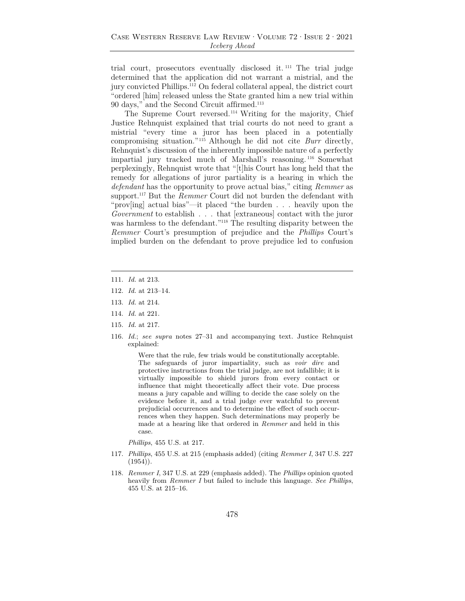trial court, prosecutors eventually disclosed it. 111 The trial judge determined that the application did not warrant a mistrial, and the jury convicted Phillips.112 On federal collateral appeal, the district court "ordered [him] released unless the State granted him a new trial within 90 days," and the Second Circuit affirmed.113

The Supreme Court reversed.114 Writing for the majority, Chief Justice Rehnquist explained that trial courts do not need to grant a mistrial "every time a juror has been placed in a potentially compromising situation."115 Although he did not cite *Burr* directly, Rehnquist's discussion of the inherently impossible nature of a perfectly impartial jury tracked much of Marshall's reasoning. 116 Somewhat perplexingly, Rehnquist wrote that "[t]his Court has long held that the remedy for allegations of juror partiality is a hearing in which the *defendant* has the opportunity to prove actual bias," citing *Remmer* as support.<sup>117</sup> But the *Remmer* Court did not burden the defendant with "prov[ing] actual bias"—it placed "the burden . . . heavily upon the *Government* to establish . . . that [extraneous] contact with the juror was harmless to the defendant."<sup>118</sup> The resulting disparity between the *Remmer* Court's presumption of prejudice and the *Phillips* Court's implied burden on the defendant to prove prejudice led to confusion

- 111. *Id.* at 213.
- 112. *Id.* at 213–14.
- 113. *Id.* at 214.
- 114. *Id.* at 221.
- 115. *Id.* at 217.
- 116. *Id.*; *see supra* notes 27–31 and accompanying text. Justice Rehnquist explained:

Were that the rule, few trials would be constitutionally acceptable. The safeguards of juror impartiality, such as *voir dire* and protective instructions from the trial judge, are not infallible; it is virtually impossible to shield jurors from every contact or influence that might theoretically affect their vote. Due process means a jury capable and willing to decide the case solely on the evidence before it, and a trial judge ever watchful to prevent prejudicial occurrences and to determine the effect of such occurrences when they happen. Such determinations may properly be made at a hearing like that ordered in *Remmer* and held in this case.

*Phillips*, 455 U.S. at 217.

- 117. *Phillips*, 455 U.S. at 215 (emphasis added) (citing *Remmer I*, 347 U.S. 227  $(1954)$ .
- 118. *Remmer I*, 347 U.S. at 229 (emphasis added). The *Phillips* opinion quoted heavily from *Remmer I* but failed to include this language. *See Phillips*, 455 U.S. at 215–16.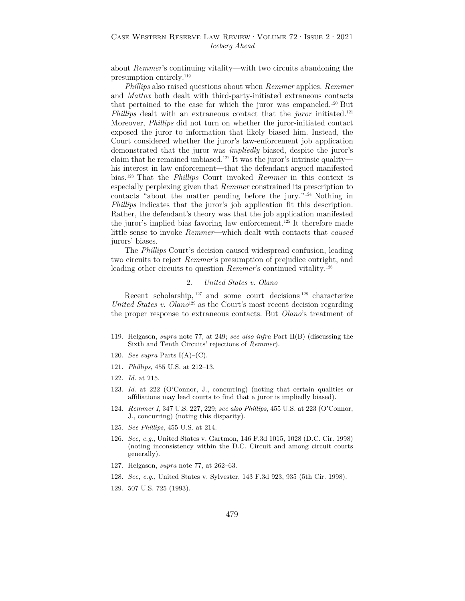about *Remmer*'s continuing vitality—with two circuits abandoning the presumption entirely.119

*Phillips* also raised questions about when *Remmer* applies. *Remmer* and *Mattox* both dealt with third-party-initiated extraneous contacts that pertained to the case for which the juror was empaneled.120 But *Phillips* dealt with an extraneous contact that the *juror* initiated.121 Moreover, *Phillips* did not turn on whether the juror-initiated contact exposed the juror to information that likely biased him. Instead, the Court considered whether the juror's law-enforcement job application demonstrated that the juror was *impliedly* biased, despite the juror's claim that he remained unbiased.<sup>122</sup> It was the juror's intrinsic quality his interest in law enforcement—that the defendant argued manifested bias.123 That the *Phillips* Court invoked *Remmer* in this context is especially perplexing given that *Remmer* constrained its prescription to contacts "about the matter pending before the jury."124 Nothing in *Phillips* indicates that the juror's job application fit this description. Rather, the defendant's theory was that the job application manifested the juror's implied bias favoring law enforcement.125 It therefore made little sense to invoke *Remmer*—which dealt with contacts that *caused* jurors' biases.

The *Phillips* Court's decision caused widespread confusion, leading two circuits to reject *Remmer*'s presumption of prejudice outright, and leading other circuits to question *Remmer*'s continued vitality.<sup>126</sup>

## 2. *United States v. Olano*

Recent scholarship,  $127$  and some court decisions  $128$  characterize *United States v. Olano*<sup>129</sup> as the Court's most recent decision regarding the proper response to extraneous contacts. But *Olano*'s treatment of

- 120. *See supra* Parts I(A)–(C).
- 121. *Phillips*, 455 U.S. at 212–13.
- 122. *Id.* at 215.
- 123. *Id.* at 222 (O'Connor, J., concurring) (noting that certain qualities or affiliations may lead courts to find that a juror is impliedly biased).
- 124. *Remmer I*, 347 U.S. 227, 229; *see also Phillips*, 455 U.S. at 223 (O'Connor, J., concurring) (noting this disparity).
- 125. *See Phillips*, 455 U.S. at 214.
- 126. *See, e.g.*, United States v. Gartmon, 146 F.3d 1015, 1028 (D.C. Cir. 1998) (noting inconsistency within the D.C. Circuit and among circuit courts generally).
- 127. Helgason, *supra* note 77, at 262–63.
- 128. *See, e.g.*, United States v. Sylvester, 143 F.3d 923, 935 (5th Cir. 1998).
- 129. 507 U.S. 725 (1993).

<sup>119.</sup> Helgason, *supra* note 77, at 249; *see also infra* Part II(B) (discussing the Sixth and Tenth Circuits' rejections of *Remmer*).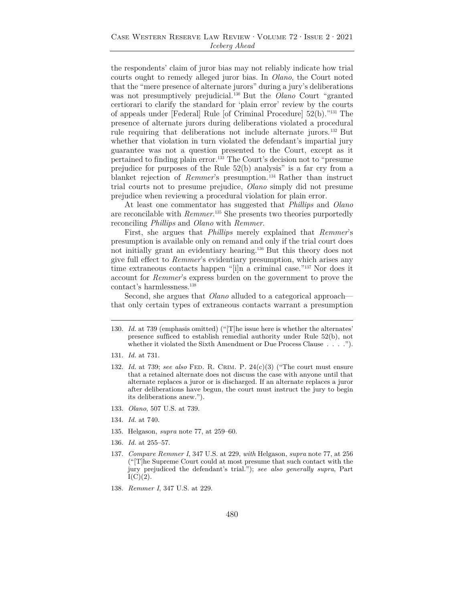## Case Western Reserve Law Review·Volume 72·Issue 2·2021 *Iceberg Ahead*

the respondents' claim of juror bias may not reliably indicate how trial courts ought to remedy alleged juror bias. In *Olano*, the Court noted that the "mere presence of alternate jurors" during a jury's deliberations was not presumptively prejudicial.130 But the *Olano* Court "granted certiorari to clarify the standard for 'plain error' review by the courts of appeals under [Federal] Rule [of Criminal Procedure] 52(b)."131 The presence of alternate jurors during deliberations violated a procedural rule requiring that deliberations not include alternate jurors.132 But whether that violation in turn violated the defendant's impartial jury guarantee was not a question presented to the Court, except as it pertained to finding plain error.133 The Court's decision not to "presume prejudice for purposes of the Rule 52(b) analysis" is a far cry from a blanket rejection of *Remmer*'s presumption.<sup>134</sup> Rather than instruct trial courts not to presume prejudice, *Olano* simply did not presume prejudice when reviewing a procedural violation for plain error.

At least one commentator has suggested that *Phillips* and *Olano* are reconcilable with *Remmer*. 135 She presents two theories purportedly reconciling *Phillips* and *Olano* with *Remmer*.

First, she argues that *Phillips* merely explained that *Remmer*'s presumption is available only on remand and only if the trial court does not initially grant an evidentiary hearing.136 But this theory does not give full effect to *Remmer*'s evidentiary presumption, which arises any time extraneous contacts happen "[i]n a criminal case."137 Nor does it account for *Remmer*'s express burden on the government to prove the contact's harmlessness.138

Second, she argues that *Olano* alluded to a categorical approach that only certain types of extraneous contacts warrant a presumption

- 132. *Id.* at 739; *see also* Fed. R. Crim. P. 24(c)(3) ("The court must ensure that a retained alternate does not discuss the case with anyone until that alternate replaces a juror or is discharged. If an alternate replaces a juror after deliberations have begun, the court must instruct the jury to begin its deliberations anew.").
- 133. *Olano*, 507 U.S. at 739.
- 134. *Id.* at 740.
- 135. Helgason, *supra* note 77, at 259–60.
- 136. *Id.* at 255–57.
- 137. *Compare Remmer I*, 347 U.S. at 229, *with* Helgason, *supra* note 77, at 256 ("[T]he Supreme Court could at most presume that such contact with the jury prejudiced the defendant's trial."); *see also generally supra*, Part  $I(C)(2)$ .
- 138. *Remmer I*, 347 U.S. at 229.

<sup>130.</sup> *Id.* at 739 (emphasis omitted) ("[T]he issue here is whether the alternates' presence sufficed to establish remedial authority under Rule 52(b), not whether it violated the Sixth Amendment or Due Process Clause . . . . .").

<sup>131.</sup> *Id.* at 731.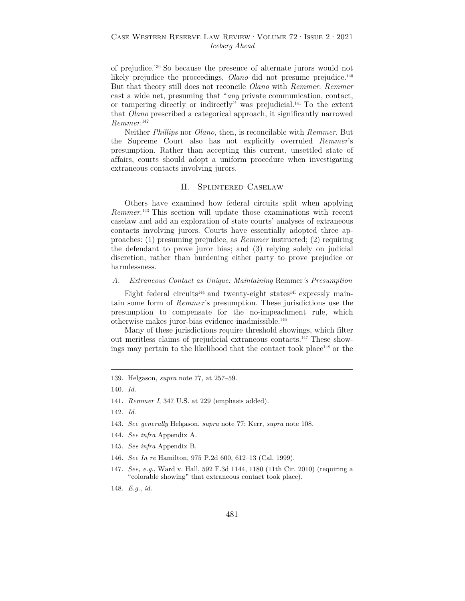of prejudice.139 So because the presence of alternate jurors would not likely prejudice the proceedings, *Olano* did not presume prejudice.<sup>140</sup> But that theory still does not reconcile *Olano* with *Remmer*. *Remmer* cast a wide net, presuming that "*any* private communication, contact, or tampering directly or indirectly" was prejudicial.141 To the extent that *Olano* prescribed a categorical approach, it significantly narrowed *Remmer*. 142

Neither *Phillips* nor *Olano*, then, is reconcilable with *Remmer*. But the Supreme Court also has not explicitly overruled *Remmer*'s presumption. Rather than accepting this current, unsettled state of affairs, courts should adopt a uniform procedure when investigating extraneous contacts involving jurors.

## II. Splintered Caselaw

Others have examined how federal circuits split when applying *Remmer*. 143 This section will update those examinations with recent caselaw and add an exploration of state courts' analyses of extraneous contacts involving jurors. Courts have essentially adopted three approaches: (1) presuming prejudice, as *Remmer* instructed; (2) requiring the defendant to prove juror bias; and (3) relying solely on judicial discretion, rather than burdening either party to prove prejudice or harmlessness.

## *A. Extraneous Contact as Unique: Maintaining* Remmer*'s Presumption*

Eight federal circuits<sup>144</sup> and twenty-eight states<sup>145</sup> expressly maintain some form of *Remmer*'s presumption. These jurisdictions use the presumption to compensate for the no-impeachment rule, which otherwise makes juror-bias evidence inadmissible.146

Many of these jurisdictions require threshold showings, which filter out meritless claims of prejudicial extraneous contacts.147 These showings may pertain to the likelihood that the contact took place<sup>148</sup> or the

- 142. *Id*.
- 143. *See generally* Helgason, *supra* note 77; Kerr, *supra* note 108.
- 144. *See infra* Appendix A.
- 145. *See infra* Appendix B.
- 146. *See In re* Hamilton, 975 P.2d 600, 612–13 (Cal. 1999).
- 147. *See, e.g.*, Ward v. Hall, 592 F.3d 1144, 1180 (11th Cir. 2010) (requiring a "colorable showing" that extraneous contact took place).
- 148. *E.g.*, *id.*

<sup>139.</sup> Helgason, *supra* note 77, at 257–59.

<sup>140.</sup> *Id.*

<sup>141.</sup> *Remmer I*, 347 U.S. at 229 (emphasis added).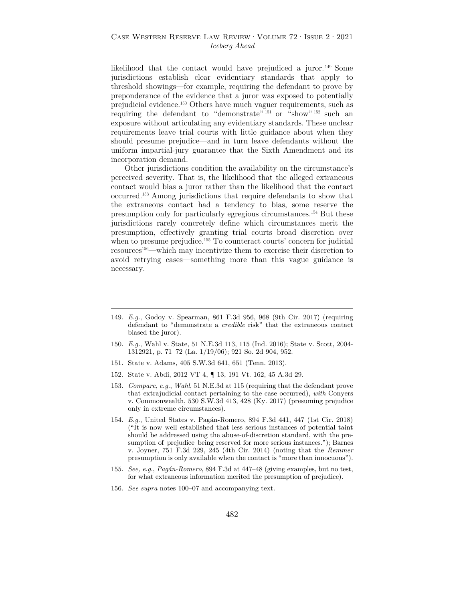likelihood that the contact would have prejudiced a juror. 149 Some jurisdictions establish clear evidentiary standards that apply to threshold showings—for example, requiring the defendant to prove by preponderance of the evidence that a juror was exposed to potentially prejudicial evidence.150 Others have much vaguer requirements, such as requiring the defendant to "demonstrate" <sup>151</sup> or "show" <sup>152</sup> such an exposure without articulating any evidentiary standards. These unclear requirements leave trial courts with little guidance about when they should presume prejudice—and in turn leave defendants without the uniform impartial-jury guarantee that the Sixth Amendment and its incorporation demand.

Other jurisdictions condition the availability on the circumstance's perceived severity. That is, the likelihood that the alleged extraneous contact would bias a juror rather than the likelihood that the contact occurred.153 Among jurisdictions that require defendants to show that the extraneous contact had a tendency to bias, some reserve the presumption only for particularly egregious circumstances.154 But these jurisdictions rarely concretely define which circumstances merit the presumption, effectively granting trial courts broad discretion over when to presume prejudice.<sup>155</sup> To counteract courts' concern for judicial resources156—which may incentivize them to exercise their discretion to avoid retrying cases—something more than this vague guidance is necessary.

- 150. *E.g.*, Wahl v. State, 51 N.E.3d 113, 115 (Ind. 2016); State v. Scott, 2004- 1312921, p. 71–72 (La. 1/19/06); 921 So. 2d 904, 952.
- 151. State v. Adams, 405 S.W.3d 641, 651 (Tenn. 2013).
- 152. State v. Abdi, 2012 VT 4, ¶ 13, 191 Vt. 162, 45 A.3d 29.
- 153. *Compare*, *e.g.*, *Wahl*, 51 N.E.3d at 115 (requiring that the defendant prove that extrajudicial contact pertaining to the case occurred), *with* Conyers v. Commonwealth, 530 S.W.3d 413, 428 (Ky. 2017) (presuming prejudice only in extreme circumstances).
- 154. *E.g.*, United States v. Pagán-Romero, 894 F.3d 441, 447 (1st Cir. 2018) ("It is now well established that less serious instances of potential taint should be addressed using the abuse-of-discretion standard, with the presumption of prejudice being reserved for more serious instances."); Barnes v. Joyner, 751 F.3d 229, 245 (4th Cir. 2014) (noting that the *Remmer* presumption is only available when the contact is "more than innocuous").
- 155. *See, e.g.*, *Pagán-Romero*, 894 F.3d at 447–48 (giving examples, but no test, for what extraneous information merited the presumption of prejudice).
- 156. *See supra* notes 100–07 and accompanying text.

<sup>149.</sup> *E.g.*, Godoy v. Spearman, 861 F.3d 956, 968 (9th Cir. 2017) (requiring defendant to "demonstrate a *credible* risk" that the extraneous contact biased the juror).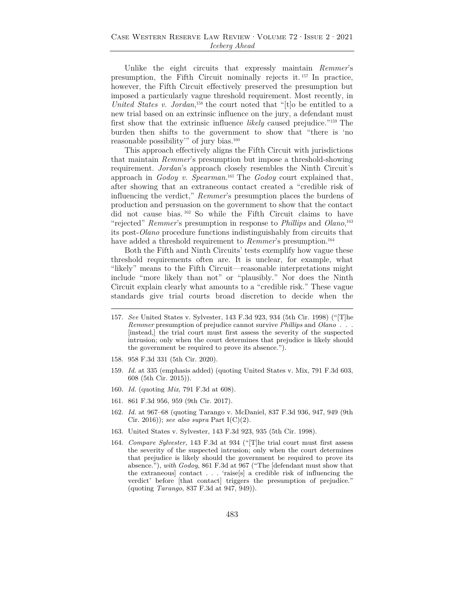Unlike the eight circuits that expressly maintain *Remmer*'s presumption, the Fifth Circuit nominally rejects it. 157 In practice, however, the Fifth Circuit effectively preserved the presumption but imposed a particularly vague threshold requirement. Most recently, in *United States v. Jordan*<sup>158</sup>, the court noted that "[t]o be entitled to a new trial based on an extrinsic influence on the jury, a defendant must first show that the extrinsic influence *likely* caused prejudice."159 The burden then shifts to the government to show that "there is 'no reasonable possibility'" of jury bias.160

This approach effectively aligns the Fifth Circuit with jurisdictions that maintain *Remmer*'s presumption but impose a threshold-showing requirement. *Jordan*'s approach closely resembles the Ninth Circuit's approach in *Godoy v. Spearman*. 161 The *Godoy* court explained that, after showing that an extraneous contact created a "credible risk of influencing the verdict," *Remmer*'s presumption places the burdens of production and persuasion on the government to show that the contact did not cause bias. 162 So while the Fifth Circuit claims to have "rejected" *Remmer*'s presumption in response to *Phillips* and *Olano*, 163 its post-*Olano* procedure functions indistinguishably from circuits that have added a threshold requirement to *Remmer*'s presumption.<sup>164</sup>

Both the Fifth and Ninth Circuits' tests exemplify how vague these threshold requirements often are. It is unclear, for example, what "likely" means to the Fifth Circuit—reasonable interpretations might include "more likely than not" or "plausibly." Nor does the Ninth Circuit explain clearly what amounts to a "credible risk." These vague standards give trial courts broad discretion to decide when the

- 158. 958 F.3d 331 (5th Cir. 2020).
- 159. *Id.* at 335 (emphasis added) (quoting United States v. Mix, 791 F.3d 603, 608 (5th Cir. 2015)).
- 160. *Id.* (quoting *Mix*, 791 F.3d at 608).
- 161. 861 F.3d 956, 959 (9th Cir. 2017).
- 162. *Id.* at 967–68 (quoting Tarango v. McDaniel, 837 F.3d 936, 947, 949 (9th Cir. 2016)); *see also supra* Part I(C)(2).
- 163. United States v. Sylvester, 143 F.3d 923, 935 (5th Cir. 1998).
- 164. *Compare Sylvester*, 143 F.3d at 934 ("[T]he trial court must first assess the severity of the suspected intrusion; only when the court determines that prejudice is likely should the government be required to prove its absence."), *with Godoy*, 861 F.3d at 967 ("The [defendant must show that the extraneous] contact . . . 'raise[s] a credible risk of influencing the verdict' before [that contact] triggers the presumption of prejudice." (quoting *Tarango*, 837 F.3d at 947, 949)).

<sup>157.</sup> *See* United States v. Sylvester, 143 F.3d 923, 934 (5th Cir. 1998) ("[T]he *Remmer* presumption of prejudice cannot survive *Phillips* and *Olano . . .*  [instead,] the trial court must first assess the severity of the suspected intrusion; only when the court determines that prejudice is likely should the government be required to prove its absence.").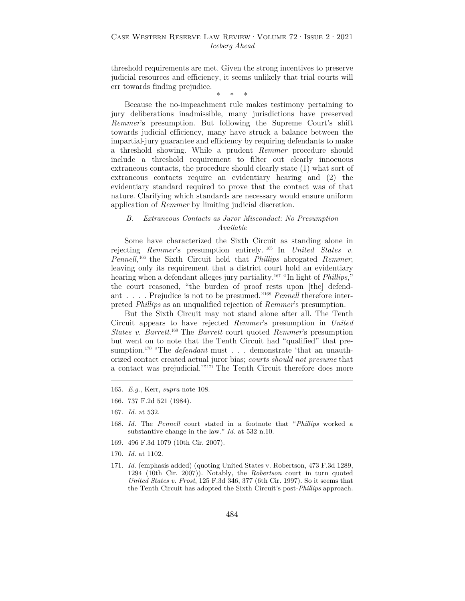threshold requirements are met. Given the strong incentives to preserve judicial resources and efficiency, it seems unlikely that trial courts will err towards finding prejudice.

\* \* \*

Because the no-impeachment rule makes testimony pertaining to jury deliberations inadmissible, many jurisdictions have preserved *Remmer*'s presumption. But following the Supreme Court's shift towards judicial efficiency, many have struck a balance between the impartial-jury guarantee and efficiency by requiring defendants to make a threshold showing. While a prudent *Remmer* procedure should include a threshold requirement to filter out clearly innocuous extraneous contacts, the procedure should clearly state (1) what sort of extraneous contacts require an evidentiary hearing and (2) the evidentiary standard required to prove that the contact was of that nature. Clarifying which standards are necessary would ensure uniform application of *Remmer* by limiting judicial discretion.

## *B. Extraneous Contacts as Juror Misconduct: No Presumption Available*

Some have characterized the Sixth Circuit as standing alone in rejecting *Remmer*'s presumption entirely. 165 In *United States v. Pennell*, 166 the Sixth Circuit held that *Phillips* abrogated *Remmer*, leaving only its requirement that a district court hold an evidentiary hearing when a defendant alleges jury partiality.167 "In light of *Phillips*," the court reasoned, "the burden of proof rests upon [the] defendant . . . . Prejudice is not to be presumed."168 *Pennell* therefore interpreted *Phillips* as an unqualified rejection of *Remmer*'s presumption.

But the Sixth Circuit may not stand alone after all. The Tenth Circuit appears to have rejected *Remmer*'s presumption in *United States v. Barrett*. 169 The *Barrett* court quoted *Remmer*'s presumption but went on to note that the Tenth Circuit had "qualified" that presumption.<sup>170</sup> "The *defendant* must . . . demonstrate 'that an unauthorized contact created actual juror bias; *courts should not presume* that a contact was prejudicial.'"171 The Tenth Circuit therefore does more

- 166. 737 F.2d 521 (1984).
- 167. *Id.* at 532.
- 168. *Id.* The *Pennell* court stated in a footnote that "*Phillips* worked a substantive change in the law." *Id.* at 532 n.10.
- 169. 496 F.3d 1079 (10th Cir. 2007).
- 170. *Id.* at 1102.
- 171. *Id.* (emphasis added) (quoting United States v. Robertson, 473 F.3d 1289, 1294 (10th Cir. 2007)). Notably, the *Robertson* court in turn quoted *United States v. Frost*, 125 F.3d 346, 377 (6th Cir. 1997). So it seems that the Tenth Circuit has adopted the Sixth Circuit's post-*Phillips* approach.

<sup>165.</sup> *E.g.*, Kerr, *supra* note 108.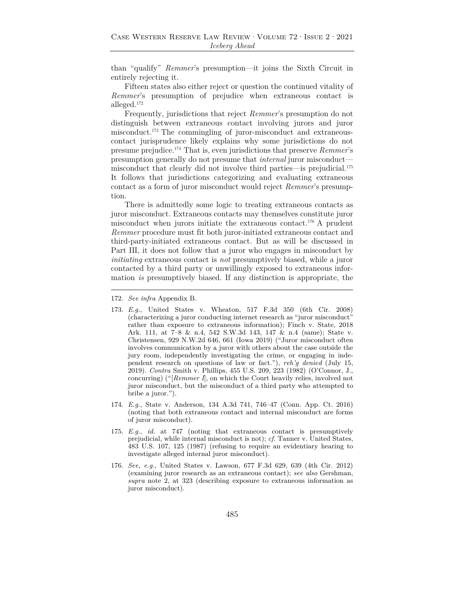than "qualify" *Remmer*'s presumption—it joins the Sixth Circuit in entirely rejecting it.

Fifteen states also either reject or question the continued vitality of *Remmer*'s presumption of prejudice when extraneous contact is alleged.172

Frequently, jurisdictions that reject *Remmer*'s presumption do not distinguish between extraneous contact involving jurors and juror misconduct.173 The commingling of juror-misconduct and extraneouscontact jurisprudence likely explains why some jurisdictions do not presume prejudice.174 That is, even jurisdictions that preserve *Remmer*'s presumption generally do not presume that *internal* juror misconduct misconduct that clearly did not involve third parties—is prejudicial.175 It follows that jurisdictions categorizing and evaluating extraneous contact as a form of juror misconduct would reject *Remmer*'s presumption.

There is admittedly some logic to treating extraneous contacts as juror misconduct. Extraneous contacts may themselves constitute juror misconduct when jurors initiate the extraneous contact.176 A prudent *Remmer* procedure must fit both juror-initiated extraneous contact and third-party-initiated extraneous contact. But as will be discussed in Part III, it does not follow that a juror who engages in misconduct by *initiating* extraneous contact is *not* presumptively biased, while a juror contacted by a third party or unwillingly exposed to extraneous information *is* presumptively biased. If any distinction is appropriate, the

- 174. *E.g.*, State v. Anderson, 134 A.3d 741, 746–47 (Conn. App. Ct. 2016) (noting that both extraneous contact and internal misconduct are forms of juror misconduct).
- 175. *E.g.*, *id.* at 747 (noting that extraneous contact is presumptively prejudicial, while internal misconduct is not); *cf.* Tanner v. United States, 483 U.S. 107, 125 (1987) (refusing to require an evidentiary hearing to investigate alleged internal juror misconduct).
- 176. *See, e.g.*, United States v. Lawson, 677 F.3d 629, 639 (4th Cir. 2012) (examining juror research as an extraneous contact); *see also* Gershman, *supra* note 2, at 323 (describing exposure to extraneous information as juror misconduct).

<sup>172.</sup> *See infra* Appendix B.

<sup>173.</sup> *E.g.*, United States v. Wheaton, 517 F.3d 350 (6th Cir. 2008) (characterizing a juror conducting internet research as "juror misconduct" rather than exposure to extraneous information); Finch v. State, 2018 Ark. 111, at 7–8 & n.4, 542 S.W.3d 143, 147 & n.4 (same); State v. Christensen, 929 N.W.2d 646, 661 (Iowa 2019) ("Juror misconduct often involves communication by a juror with others about the case outside the jury room, independently investigating the crime, or engaging in independent research on questions of law or fact."), *reh'g denied* (July 15, 2019). *Contra* Smith v. Phillips, 455 U.S. 209, 223 (1982) (O'Connor, J., concurring) ("[*Remmer I*], on which the Court heavily relies, involved not juror misconduct, but the misconduct of a third party who attempted to bribe a juror.").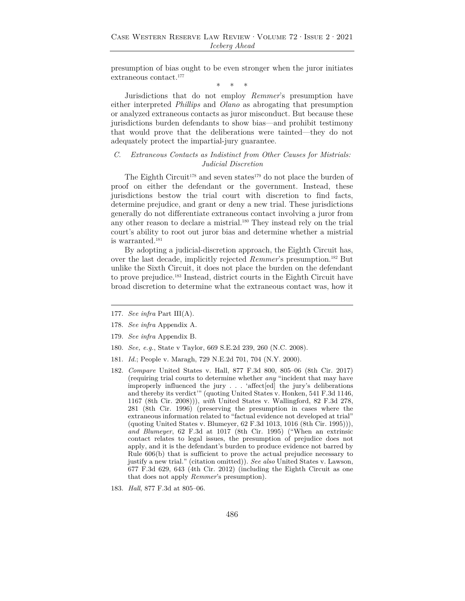presumption of bias ought to be even stronger when the juror initiates extraneous contact.177

\* \* \*

Jurisdictions that do not employ *Remmer*'s presumption have either interpreted *Phillips* and *Olano* as abrogating that presumption or analyzed extraneous contacts as juror misconduct. But because these jurisdictions burden defendants to show bias—and prohibit testimony that would prove that the deliberations were tainted—they do not adequately protect the impartial-jury guarantee.

## *C. Extraneous Contacts as Indistinct from Other Causes for Mistrials: Judicial Discretion*

The Eighth Circuit<sup>178</sup> and seven states<sup>179</sup> do not place the burden of proof on either the defendant or the government. Instead, these jurisdictions bestow the trial court with discretion to find facts, determine prejudice, and grant or deny a new trial. These jurisdictions generally do not differentiate extraneous contact involving a juror from any other reason to declare a mistrial.<sup>180</sup> They instead rely on the trial court's ability to root out juror bias and determine whether a mistrial is warranted.181

By adopting a judicial-discretion approach, the Eighth Circuit has, over the last decade, implicitly rejected *Remmer*'s presumption.182 But unlike the Sixth Circuit, it does not place the burden on the defendant to prove prejudice.183 Instead, district courts in the Eighth Circuit have broad discretion to determine what the extraneous contact was, how it

- 177. *See infra* Part III(A).
- 178. *See infra* Appendix A.
- 179. *See infra* Appendix B.
- 180. *See, e.g.*, State v Taylor, 669 S.E.2d 239, 260 (N.C. 2008).
- 181. *Id.*; People v. Maragh, 729 N.E.2d 701, 704 (N.Y. 2000).
- 182. *Compare* United States v. Hall, 877 F.3d 800, 805–06 (8th Cir. 2017) (requiring trial courts to determine whether *any* "incident that may have improperly influenced the jury . . . 'affect[ed] the jury's deliberations and thereby its verdict'" (quoting United States v. Honken, 541 F.3d 1146, 1167 (8th Cir. 2008))), *with* United States v. Wallingford, 82 F.3d 278, 281 (8th Cir. 1996) (preserving the presumption in cases where the extraneous information related to "factual evidence not developed at trial" (quoting United States v. Blumeyer, 62 F.3d 1013, 1016 (8th Cir. 1995))), *and Blumeyer*, 62 F.3d at 1017 (8th Cir. 1995) ("When an extrinsic contact relates to legal issues, the presumption of prejudice does not apply, and it is the defendant's burden to produce evidence not barred by Rule 606(b) that is sufficient to prove the actual prejudice necessary to justify a new trial." (citation omitted)). *See also* United States v. Lawson, 677 F.3d 629, 643 (4th Cir. 2012) (including the Eighth Circuit as one that does not apply *Remmer*'s presumption).
- 183. *Hall*, 877 F.3d at 805–06.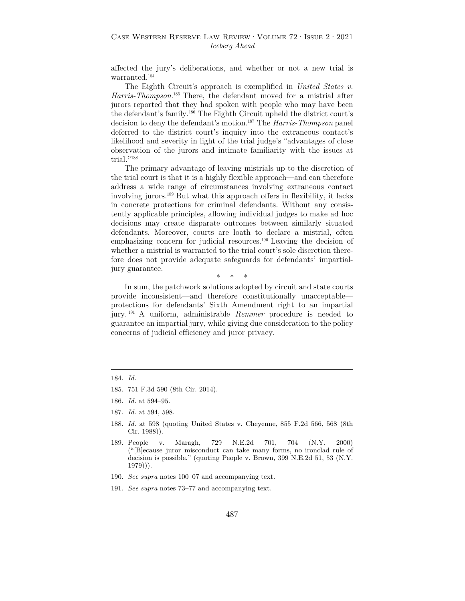affected the jury's deliberations, and whether or not a new trial is warranted.184

The Eighth Circuit's approach is exemplified in *United States v. Harris-Thompson*. 185 There, the defendant moved for a mistrial after jurors reported that they had spoken with people who may have been the defendant's family.186 The Eighth Circuit upheld the district court's decision to deny the defendant's motion.187 The *Harris-Thompson* panel deferred to the district court's inquiry into the extraneous contact's likelihood and severity in light of the trial judge's "advantages of close observation of the jurors and intimate familiarity with the issues at trial."<sup>188</sup>

The primary advantage of leaving mistrials up to the discretion of the trial court is that it is a highly flexible approach—and can therefore address a wide range of circumstances involving extraneous contact involving jurors.189 But what this approach offers in flexibility, it lacks in concrete protections for criminal defendants. Without any consistently applicable principles, allowing individual judges to make ad hoc decisions may create disparate outcomes between similarly situated defendants. Moreover, courts are loath to declare a mistrial, often emphasizing concern for judicial resources.<sup>190</sup> Leaving the decision of whether a mistrial is warranted to the trial court's sole discretion therefore does not provide adequate safeguards for defendants' impartialjury guarantee.

\* \* \*

In sum, the patchwork solutions adopted by circuit and state courts provide inconsistent—and therefore constitutionally unacceptable protections for defendants' Sixth Amendment right to an impartial jury. 191 A uniform, administrable *Remmer* procedure is needed to guarantee an impartial jury, while giving due consideration to the policy concerns of judicial efficiency and juror privacy.

- 186. *Id.* at 594–95.
- 187. *Id.* at 594, 598.
- 188. *Id.* at 598 (quoting United States v. Cheyenne, 855 F.2d 566, 568 (8th Cir. 1988)).
- 189. People v. Maragh, 729 N.E.2d 701, 704 (N.Y. 2000) ("[B]ecause juror misconduct can take many forms, no ironclad rule of decision is possible." (quoting People v. Brown*,* 399 N.E.2d 51, 53 (N.Y. 1979))).
- 190. *See supra* notes 100–07 and accompanying text.
- 191. *See supra* notes 73–77 and accompanying text.

<sup>184.</sup> *Id.*

<sup>185. 751</sup> F.3d 590 (8th Cir. 2014).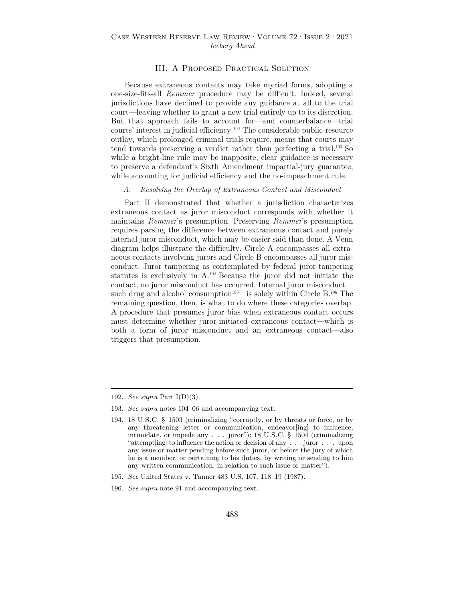## III. A Proposed Practical Solution

Because extraneous contacts may take myriad forms, adopting a one-size-fits-all *Remmer* procedure may be difficult. Indeed, several jurisdictions have declined to provide any guidance at all to the trial court—leaving whether to grant a new trial entirely up to its discretion. But that approach fails to account for—and counterbalance—trial courts' interest in judicial efficiency.192 The considerable public-resource outlay, which prolonged criminal trials require, means that courts may tend towards preserving a verdict rather than perfecting a trial.193 So while a bright-line rule may be inapposite, clear guidance is necessary to preserve a defendant's Sixth Amendment impartial-jury guarantee, while accounting for judicial efficiency and the no-impeachment rule.

#### *A. Resolving the Overlap of Extraneous Contact and Misconduct*

Part II demonstrated that whether a jurisdiction characterizes extraneous contact as juror misconduct corresponds with whether it maintains *Remmer*'s presumption. Preserving *Remmer*'s presumption requires parsing the difference between extraneous contact and purely internal juror misconduct, which may be easier said than done. A Venn diagram helps illustrate the difficulty. Circle A encompasses all extraneous contacts involving jurors and Circle B encompasses all juror misconduct. Juror tampering as contemplated by federal juror-tampering statutes is exclusively in A.194 Because the juror did not initiate the contact, no juror misconduct has occurred. Internal juror misconduct such drug and alcohol consumption<sup>195</sup>—is solely within Circle B.<sup>196</sup> The remaining question, then, is what to do where these categories overlap. A procedure that presumes juror bias when extraneous contact occurs must determine whether juror-initiated extraneous contact—which is both a form of juror misconduct and an extraneous contact—also triggers that presumption.

196. *See supra* note 91 and accompanying text.

<sup>192.</sup> *See supra* Part I(D)(3).

<sup>193.</sup> *See supra* notes 104–06 and accompanying text.

<sup>194. 18</sup> U.S.C. § 1503 (criminalizing "corruptly, or by threats or force, or by any threatening letter or communication, endeavor[ing] to influence, intimidate, or impede any . . . juror"); 18 U.S.C. § 1504 (criminalizing "attempt[ing] to influence the action or decision of any . . . juror . . . upon any issue or matter pending before such juror, or before the jury of which he is a member, or pertaining to his duties, by writing or sending to him any written communication, in relation to such issue or matter").

<sup>195.</sup> *See* United States v. Tanner 483 U.S. 107, 118–19 (1987).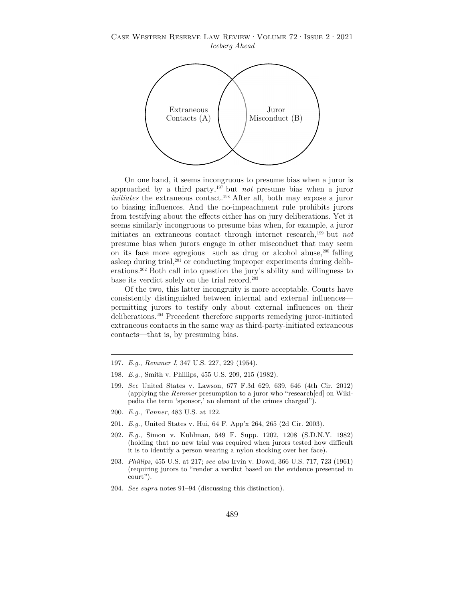

On one hand, it seems incongruous to presume bias when a juror is approached by a third party,197 but *not* presume bias when a juror *initiates* the extraneous contact.198 After all, both may expose a juror to biasing influences. And the no-impeachment rule prohibits jurors from testifying about the effects either has on jury deliberations. Yet it seems similarly incongruous to presume bias when, for example, a juror initiates an extraneous contact through internet research,199 but *not* presume bias when jurors engage in other misconduct that may seem on its face more egregious—such as drug or alcohol abuse,<sup>200</sup> falling asleep during trial, $201$  or conducting improper experiments during deliberations.202 Both call into question the jury's ability and willingness to base its verdict solely on the trial record.203

Of the two, this latter incongruity is more acceptable. Courts have consistently distinguished between internal and external influences permitting jurors to testify only about external influences on their deliberations.204 Precedent therefore supports remedying juror-initiated extraneous contacts in the same way as third-party-initiated extraneous contacts—that is, by presuming bias.

- 197. *E.g.*, *Remmer I*, 347 U.S. 227, 229 (1954).
- 198. *E.g.*, Smith v. Phillips, 455 U.S. 209, 215 (1982).
- 199. *See* United States v. Lawson, 677 F.3d 629, 639, 646 (4th Cir. 2012) (applying the *Remmer* presumption to a juror who "research[ed] on Wikipedia the term 'sponsor,' an element of the crimes charged").
- 200. *E.g.*, *Tanner*, 483 U.S. at 122.
- 201. *E.g.*, United States v. Hui, 64 F. App'x 264, 265 (2d Cir. 2003).
- 202. *E.g.*, Simon v. Kuhlman, 549 F. Supp. 1202, 1208 (S.D.N.Y. 1982) (holding that no new trial was required when jurors tested how difficult it is to identify a person wearing a nylon stocking over her face).
- 203. *Phillips*, 455 U.S. at 217; *see also* Irvin v. Dowd, 366 U.S. 717, 723 (1961) (requiring jurors to "render a verdict based on the evidence presented in court").
- 204. *See supra* notes 91–94 (discussing this distinction).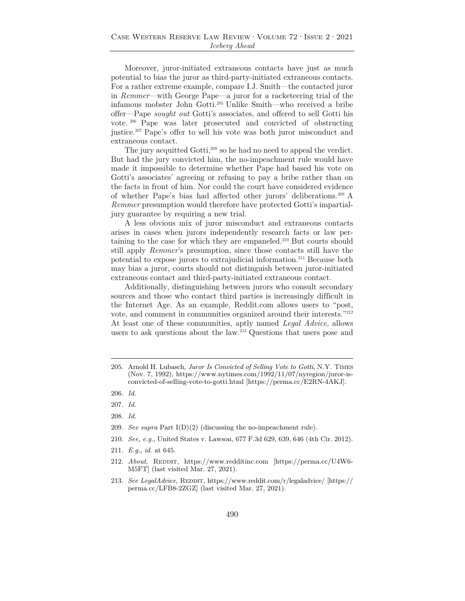Moreover, juror-initiated extraneous contacts have just as much potential to bias the juror as third-party-initiated extraneous contacts. For a rather extreme example, compare I.J. Smith—the contacted juror in *Remmer*—with George Pape—a juror for a racketeering trial of the infamous mobster John Gotti.205 Unlike Smith—who received a bribe offer—Pape *sought out* Gotti's associates, and offered to sell Gotti his vote. 206 Pape was later prosecuted and convicted of obstructing justice.207 Pape's offer to sell his vote was both juror misconduct and extraneous contact.

The jury acquitted Gotti,<sup>208</sup> so he had no need to appeal the verdict. But had the jury convicted him, the no-impeachment rule would have made it impossible to determine whether Pape had based his vote on Gotti's associates' agreeing or refusing to pay a bribe rather than on the facts in front of him. Nor could the court have considered evidence of whether Pape's bias had affected other jurors' deliberations.209 A *Remmer* presumption would therefore have protected Gotti's impartialjury guarantee by requiring a new trial.

A less obvious mix of juror misconduct and extraneous contacts arises in cases when jurors independently research facts or law pertaining to the case for which they are empaneled.<sup>210</sup> But courts should still apply *Remmer*'s presumption, since those contacts still have the potential to expose jurors to extrajudicial information.211 Because both may bias a juror, courts should not distinguish between juror-initiated extraneous contact and third-party-initiated extraneous contact.

Additionally, distinguishing between jurors who consult secondary sources and those who contact third parties is increasingly difficult in the Internet Age. As an example, Reddit.com allows users to "post, vote, and comment in communities organized around their interests."212 At least one of these communities, aptly named *Legal Advice*, allows users to ask questions about the law.<sup>213</sup> Questions that users pose and

- 208. *Id.*
- 209. *See supra* Part I(D)(2) (discussing the no-impeachment rule).
- 210. *See, e.g.*, United States v. Lawson, 677 F.3d 629, 639, 646 (4th Cir. 2012).
- 211. *E.g.*, *id.* at 645.
- 212. *About*, REDDIT, https://www.redditinc.com [https://perma.cc/U4W6-M5FT] (last visited Mar. 27, 2021).
- 213. *See LegalAdvice*, REDDIT, https://www.reddit.com/r/legaladvice/ [https:// perma.cc/LFB8-2ZGZ] (last visited Mar. 27, 2021).

<sup>205.</sup> Arnold H. Lubasch, *Juror Is Convicted of Selling Vote to Gotti*, N.Y. Times (Nov. 7, 1992), https://www.nytimes.com/1992/11/07/nyregion/juror-isconvicted-of-selling-vote-to-gotti.html [https://perma.cc/E2RN-4AKJ].

<sup>206.</sup> *Id.*

<sup>207.</sup> *Id.*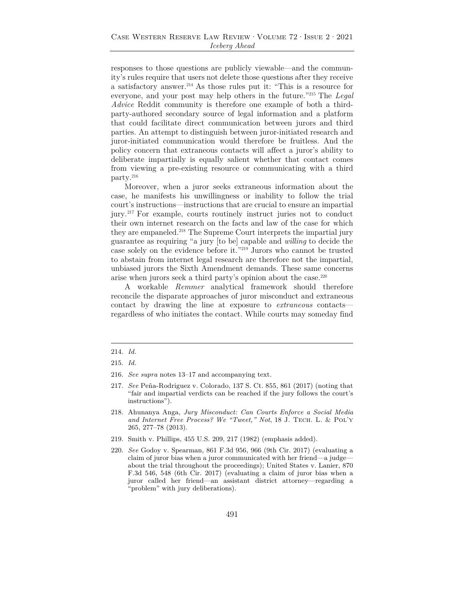responses to those questions are publicly viewable—and the community's rules require that users not delete those questions after they receive a satisfactory answer.214 As those rules put it: "This is a resource for everyone, and your post may help others in the future."215 The *Legal Advice* Reddit community is therefore one example of both a thirdparty-authored secondary source of legal information and a platform that could facilitate direct communication between jurors and third parties. An attempt to distinguish between juror-initiated research and juror-initiated communication would therefore be fruitless. And the policy concern that extraneous contacts will affect a juror's ability to deliberate impartially is equally salient whether that contact comes from viewing a pre-existing resource or communicating with a third party.216

Moreover, when a juror seeks extraneous information about the case, he manifests his unwillingness or inability to follow the trial court's instructions—instructions that are crucial to ensure an impartial jury.217 For example, courts routinely instruct juries not to conduct their own internet research on the facts and law of the case for which they are empaneled.<sup>218</sup> The Supreme Court interprets the impartial jury guarantee as requiring "a jury [to be] capable and *willing* to decide the case solely on the evidence before it."219 Jurors who cannot be trusted to abstain from internet legal research are therefore not the impartial, unbiased jurors the Sixth Amendment demands. These same concerns arise when jurors seek a third party's opinion about the case.220

A workable *Remmer* analytical framework should therefore reconcile the disparate approaches of juror misconduct and extraneous contact by drawing the line at exposure to *extraneous* contacts regardless of who initiates the contact. While courts may someday find

- 216. *See supra* notes 13–17 and accompanying text.
- 217. *See* Peña-Rodriguez v. Colorado, 137 S. Ct. 855, 861 (2017) (noting that "fair and impartial verdicts can be reached if the jury follows the court's instructions").
- 218. Ahunanya Anga, *Jury Misconduct: Can Courts Enforce a Social Media and Internet Free Process? We "Tweet," Not*, 18 J. Tech. L. & Pol'y 265, 277–78 (2013).
- 219. Smith v. Phillips, 455 U.S. 209, 217 (1982) (emphasis added).
- 220. *See* Godoy v. Spearman, 861 F.3d 956, 966 (9th Cir. 2017) (evaluating a claim of juror bias when a juror communicated with her friend—a judge about the trial throughout the proceedings); United States v. Lanier, 870 F.3d 546, 548 (6th Cir. 2017) (evaluating a claim of juror bias when a juror called her friend—an assistant district attorney—regarding a "problem" with jury deliberations).

<sup>214.</sup> *Id.*

<sup>215.</sup> *Id.*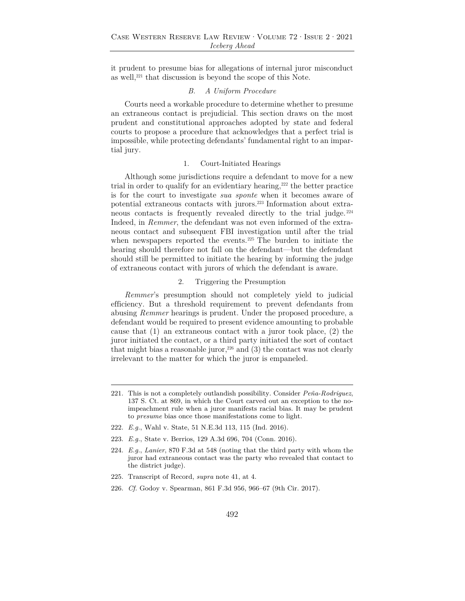it prudent to presume bias for allegations of internal juror misconduct as well,<sup>221</sup> that discussion is beyond the scope of this Note.

## *B. A Uniform Procedure*

Courts need a workable procedure to determine whether to presume an extraneous contact is prejudicial. This section draws on the most prudent and constitutional approaches adopted by state and federal courts to propose a procedure that acknowledges that a perfect trial is impossible, while protecting defendants' fundamental right to an impartial jury.

#### 1. Court-Initiated Hearings

Although some jurisdictions require a defendant to move for a new trial in order to qualify for an evidentiary hearing, $222$  the better practice is for the court to investigate *sua sponte* when it becomes aware of potential extraneous contacts with jurors.223 Information about extraneous contacts is frequently revealed directly to the trial judge. <sup>224</sup> Indeed, in *Remmer*, the defendant was not even informed of the extraneous contact and subsequent FBI investigation until after the trial when newspapers reported the events.<sup>225</sup> The burden to initiate the hearing should therefore not fall on the defendant—but the defendant should still be permitted to initiate the hearing by informing the judge of extraneous contact with jurors of which the defendant is aware.

## 2. Triggering the Presumption

*Remmer*'s presumption should not completely yield to judicial efficiency. But a threshold requirement to prevent defendants from abusing *Remmer* hearings is prudent. Under the proposed procedure, a defendant would be required to present evidence amounting to probable cause that (1) an extraneous contact with a juror took place, (2) the juror initiated the contact, or a third party initiated the sort of contact that might bias a reasonable juror,<sup>226</sup> and  $(3)$  the contact was not clearly irrelevant to the matter for which the juror is empaneled.

- 222. *E.g.*, Wahl v. State, 51 N.E.3d 113, 115 (Ind. 2016).
- 223. *E.g.*, State v. Berrios, 129 A.3d 696, 704 (Conn. 2016).
- 224. *E.g.*, *Lanier*, 870 F.3d at 548 (noting that the third party with whom the juror had extraneous contact was the party who revealed that contact to the district judge).
- 225. Transcript of Record, *supra* note 41, at 4.
- 226. *Cf.* Godoy v. Spearman, 861 F.3d 956, 966–67 (9th Cir. 2017).

<sup>221.</sup> This is not a completely outlandish possibility. Consider *Peña-Rodriguez*, 137 S. Ct. at 869, in which the Court carved out an exception to the noimpeachment rule when a juror manifests racial bias. It may be prudent to *presume* bias once those manifestations come to light.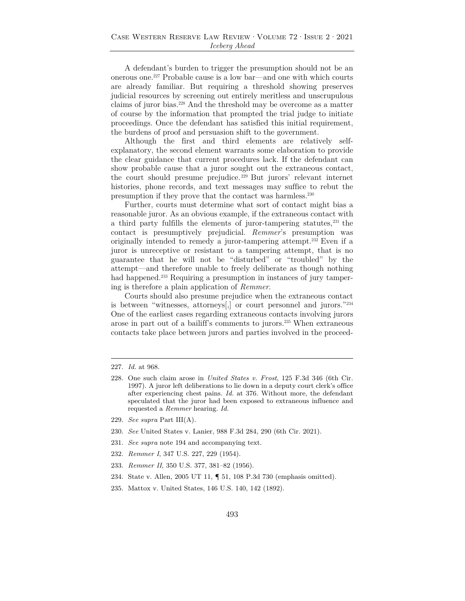A defendant's burden to trigger the presumption should not be an onerous one.227 Probable cause is a low bar—and one with which courts are already familiar. But requiring a threshold showing preserves judicial resources by screening out entirely meritless and unscrupulous claims of juror bias.228 And the threshold may be overcome as a matter of course by the information that prompted the trial judge to initiate proceedings. Once the defendant has satisfied this initial requirement, the burdens of proof and persuasion shift to the government.

Although the first and third elements are relatively selfexplanatory, the second element warrants some elaboration to provide the clear guidance that current procedures lack. If the defendant can show probable cause that a juror sought out the extraneous contact, the court should presume prejudice. 229 But jurors' relevant internet histories, phone records, and text messages may suffice to rebut the presumption if they prove that the contact was harmless.230

Further, courts must determine what sort of contact might bias a reasonable juror. As an obvious example, if the extraneous contact with a third party fulfills the elements of juror-tampering statutes,<sup>231</sup> the contact is presumptively prejudicial. *Remmer*'s presumption was originally intended to remedy a juror-tampering attempt.232 Even if a juror is unreceptive or resistant to a tampering attempt, that is no guarantee that he will not be "disturbed" or "troubled" by the attempt—and therefore unable to freely deliberate as though nothing had happened.<sup>233</sup> Requiring a presumption in instances of jury tampering is therefore a plain application of *Remmer*.

Courts should also presume prejudice when the extraneous contact is between "witnesses, attorneys[,] or court personnel and jurors."234 One of the earliest cases regarding extraneous contacts involving jurors arose in part out of a bailiff's comments to jurors.235 When extraneous contacts take place between jurors and parties involved in the proceed-

- 229. *See supra* Part III(A).
- 230. *See* United States v. Lanier, 988 F.3d 284, 290 (6th Cir. 2021).
- 231. *See supra* note 194 and accompanying text.
- 232. *Remmer I*, 347 U.S. 227, 229 (1954).
- 233. *Remmer II*, 350 U.S. 377, 381–82 (1956).
- 234. State v. Allen, 2005 UT 11, ¶ 51, 108 P.3d 730 (emphasis omitted).
- 235. Mattox v. United States, 146 U.S. 140, 142 (1892).

<sup>227.</sup> *Id.* at 968.

<sup>228.</sup> One such claim arose in *United States v. Frost*, 125 F.3d 346 (6th Cir. 1997). A juror left deliberations to lie down in a deputy court clerk's office after experiencing chest pains. *Id.* at 376. Without more, the defendant speculated that the juror had been exposed to extraneous influence and requested a *Remmer* hearing. *Id.*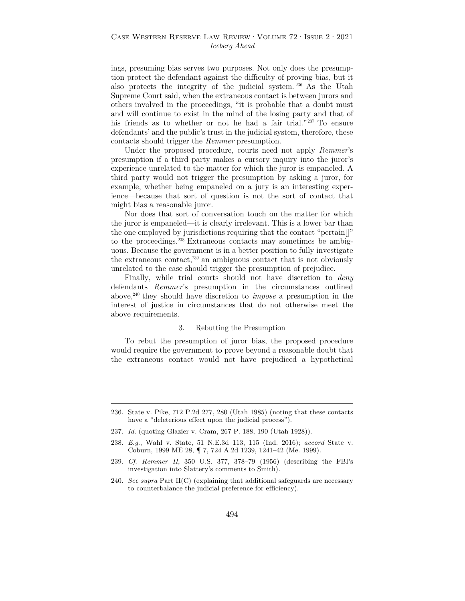ings, presuming bias serves two purposes. Not only does the presumption protect the defendant against the difficulty of proving bias, but it also protects the integrity of the judicial system. 236 As the Utah Supreme Court said, when the extraneous contact is between jurors and others involved in the proceedings, "it is probable that a doubt must and will continue to exist in the mind of the losing party and that of his friends as to whether or not he had a fair trial."<sup>237</sup> To ensure defendants' and the public's trust in the judicial system, therefore, these contacts should trigger the *Remmer* presumption.

Under the proposed procedure, courts need not apply *Remmer*'s presumption if a third party makes a cursory inquiry into the juror's experience unrelated to the matter for which the juror is empaneled. A third party would not trigger the presumption by asking a juror, for example, whether being empaneled on a jury is an interesting experience—because that sort of question is not the sort of contact that might bias a reasonable juror.

Nor does that sort of conversation touch on the matter for which the juror is empaneled—it is clearly irrelevant. This is a lower bar than the one employed by jurisdictions requiring that the contact "pertain[]" to the proceedings.238 Extraneous contacts may sometimes be ambiguous. Because the government is in a better position to fully investigate the extraneous contact, $239$  an ambiguous contact that is not obviously unrelated to the case should trigger the presumption of prejudice.

Finally, while trial courts should not have discretion to *deny* defendants *Remmer*'s presumption in the circumstances outlined above,240 they should have discretion to *impose* a presumption in the interest of justice in circumstances that do not otherwise meet the above requirements.

#### 3. Rebutting the Presumption

To rebut the presumption of juror bias, the proposed procedure would require the government to prove beyond a reasonable doubt that the extraneous contact would not have prejudiced a hypothetical

<sup>236.</sup> State v. Pike, 712 P.2d 277, 280 (Utah 1985) (noting that these contacts have a "deleterious effect upon the judicial process").

<sup>237.</sup> *Id.* (quoting Glazier v. Cram, 267 P. 188, 190 (Utah 1928)).

<sup>238.</sup> *E.g.*, Wahl v. State, 51 N.E.3d 113, 115 (Ind. 2016); *accord* State v. Coburn, 1999 ME 28, ¶ 7, 724 A.2d 1239, 1241–42 (Me. 1999).

<sup>239.</sup> *Cf. Remmer II*, 350 U.S. 377, 378–79 (1956) (describing the FBI's investigation into Slattery's comments to Smith).

<sup>240.</sup> *See supra* Part II(C) (explaining that additional safeguards are necessary to counterbalance the judicial preference for efficiency).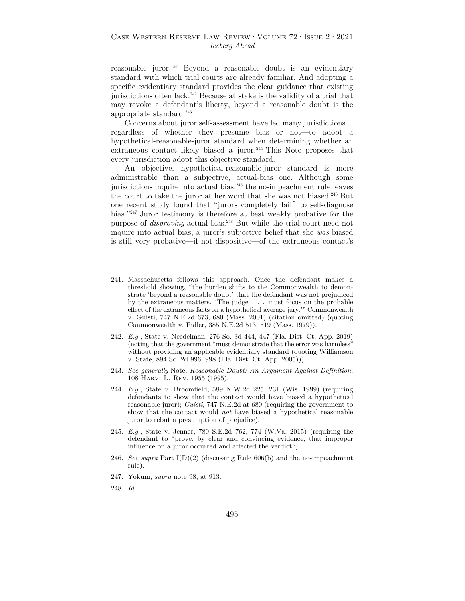reasonable juror. 241 Beyond a reasonable doubt is an evidentiary standard with which trial courts are already familiar. And adopting a specific evidentiary standard provides the clear guidance that existing jurisdictions often lack.<sup>242</sup> Because at stake is the validity of a trial that may revoke a defendant's liberty, beyond a reasonable doubt is the appropriate standard.243

Concerns about juror self-assessment have led many jurisdictions regardless of whether they presume bias or not—to adopt a hypothetical-reasonable-juror standard when determining whether an extraneous contact likely biased a juror.<sup>244</sup> This Note proposes that every jurisdiction adopt this objective standard.

An objective, hypothetical-reasonable-juror standard is more administrable than a subjective, actual-bias one. Although some jurisdictions inquire into actual bias, $245$  the no-impeachment rule leaves the court to take the juror at her word that she was not biased.246 But one recent study found that "jurors completely fail[] to self-diagnose bias."247 Juror testimony is therefore at best weakly probative for the purpose of *disproving* actual bias.248 But while the trial court need not inquire into actual bias, a juror's subjective belief that she *was* biased is still very probative—if not dispositive—of the extraneous contact's

- 241. Massachusetts follows this approach. Once the defendant makes a threshold showing, "the burden shifts to the Commonwealth to demonstrate 'beyond a reasonable doubt' that the defendant was not prejudiced by the extraneous matters. 'The judge . . . must focus on the probable effect of the extraneous facts on a hypothetical average jury.'" Commonwealth v. Guisti, 747 N.E.2d 673, 680 (Mass. 2001) (citation omitted) (quoting Commonwealth v. Fidler, 385 N.E.2d 513, 519 (Mass. 1979)).
- 242. *E.g.*, State v. Needelman, 276 So. 3d 444, 447 (Fla. Dist. Ct. App. 2019) (noting that the government "must demonstrate that the error was harmless" without providing an applicable evidentiary standard (quoting Williamson v. State, 894 So. 2d 996, 998 (Fla. Dist. Ct. App. 2005))).
- 243. *See generally* Note, *Reasonable Doubt: An Argument Against Definition*, 108 Harv. L. Rev. 1955 (1995).
- 244. *E.g.*, State v. Broomfield, 589 N.W.2d 225, 231 (Wis. 1999) (requiring defendants to show that the contact would have biased a hypothetical reasonable juror); *Guisti*, 747 N.E.2d at 680 (requiring the government to show that the contact would *not* have biased a hypothetical reasonable juror to rebut a presumption of prejudice).
- 245. *E.g.*, State v. Jenner, 780 S.E.2d 762, 774 (W.Va. 2015) (requiring the defendant to "prove, by clear and convincing evidence, that improper influence on a juror occurred and affected the verdict").
- 246. *See supra* Part I(D)(2) (discussing Rule 606(b) and the no-impeachment rule).
- 247. Yokum, *supra* note 98, at 913.
- 248. *Id.*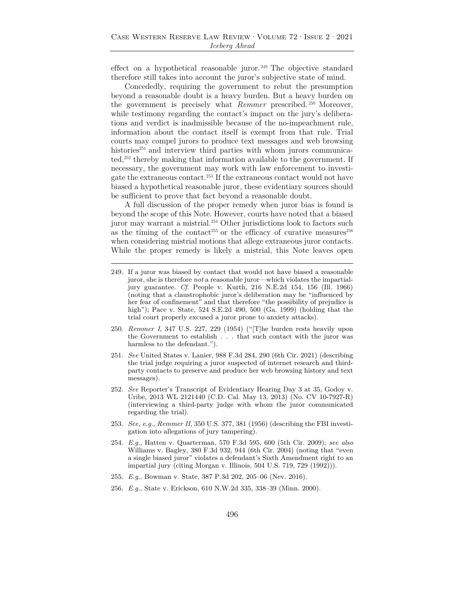effect on a hypothetical reasonable juror. 249 The objective standard therefore still takes into account the juror's subjective state of mind.

Concededly, requiring the government to rebut the presumption beyond a reasonable doubt is a heavy burden. But a heavy burden on the government is precisely what *Remmer* prescribed.<sup>250</sup> Moreover, while testimony regarding the contact's impact on the jury's deliberations and verdict is inadmissible because of the no-impeachment rule, information about the contact itself is exempt from that rule. Trial courts may compel jurors to produce text messages and web browsing histories<sup>251</sup> and interview third parties with whom jurors communicated,<sup>252</sup> thereby making that information available to the government. If necessary, the government may work with law enforcement to investigate the extraneous contact.253 If the extraneous contact would not have biased a hypothetical reasonable juror, these evidentiary sources should be sufficient to prove that fact beyond a reasonable doubt.

A full discussion of the proper remedy when juror bias is found is beyond the scope of this Note. However, courts have noted that a biased juror may warrant a mistrial.<sup>254</sup> Other jurisdictions look to factors such as the timing of the contact<sup>255</sup> or the efficacy of curative measures<sup>256</sup> when considering mistrial motions that allege extraneous juror contacts. While the proper remedy is likely a mistrial, this Note leaves open

- 249. If a juror was biased by contact that would not have biased a reasonable juror, she is therefore *not* a reasonable juror—which violates the impartialjury guarantee. *Cf.* People v. Kurth, 216 N.E.2d 154, 156 (Ill. 1966) (noting that a claustrophobic juror's deliberation may be "influenced by her fear of confinement" and that therefore "the possibility of prejudice is high"); Pace v. State, 524 S.E.2d 490, 500 (Ga. 1999) (holding that the trial court properly excused a juror prone to anxiety attacks).
- 250. *Remmer I*, 347 U.S. 227, 229 (1954) ("[T]he burden rests heavily upon the Government to establish . . . that such contact with the juror was harmless to the defendant.").
- 251. *See* United States v. Lanier, 988 F.3d 284, 290 (6th Cir. 2021) (describing the trial judge requiring a juror suspected of internet research and thirdparty contacts to preserve and produce her web browsing history and text messages).
- 252. *See* Reporter's Transcript of Evidentiary Hearing Day 3 at 35, Godoy v. Uribe, 2013 WL 2121440 (C.D. Cal. May 13, 2013) (No. CV 10-7927-R) (interviewing a third-party judge with whom the juror communicated regarding the trial).
- 253. *See, e.g.*, *Remmer II*, 350 U.S. 377, 381 (1956) (describing the FBI investigation into allegations of jury tampering).
- 254. *E.g.*, Hatten v. Quarterman, 570 F.3d 595, 600 (5th Cir. 2009); *see also* Williams v. Bagley, 380 F.3d 932, 944 (6th Cir. 2004) (noting that "even a single biased juror" violates a defendant's Sixth Amendment right to an impartial jury (citing Morgan v. Illinois, 504 U.S. 719, 729 (1992))).
- 255. *E.g.*, Bowman v. State, 387 P.3d 202, 205–06 (Nev. 2016).
- 256. *E.g.*, State v. Erickson, 610 N.W.2d 335, 338–39 (Minn. 2000).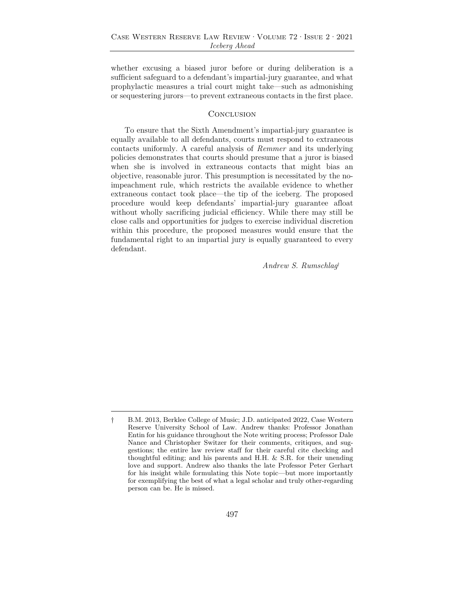whether excusing a biased juror before or during deliberation is a sufficient safeguard to a defendant's impartial-jury guarantee, and what prophylactic measures a trial court might take—such as admonishing or sequestering jurors—to prevent extraneous contacts in the first place.

#### **CONCLUSION**

To ensure that the Sixth Amendment's impartial-jury guarantee is equally available to all defendants, courts must respond to extraneous contacts uniformly. A careful analysis of *Remmer* and its underlying policies demonstrates that courts should presume that a juror is biased when she is involved in extraneous contacts that might bias an objective, reasonable juror. This presumption is necessitated by the noimpeachment rule, which restricts the available evidence to whether extraneous contact took place—the tip of the iceberg. The proposed procedure would keep defendants' impartial-jury guarantee afloat without wholly sacrificing judicial efficiency. While there may still be close calls and opportunities for judges to exercise individual discretion within this procedure, the proposed measures would ensure that the fundamental right to an impartial jury is equally guaranteed to every defendant.

*Andrew S. Rumschlag*†

<sup>†</sup> B.M. 2013, Berklee College of Music; J.D. anticipated 2022, Case Western Reserve University School of Law. Andrew thanks: Professor Jonathan Entin for his guidance throughout the Note writing process; Professor Dale Nance and Christopher Switzer for their comments, critiques, and suggestions; the entire law review staff for their careful cite checking and thoughtful editing; and his parents and H.H. & S.R. for their unending love and support. Andrew also thanks the late Professor Peter Gerhart for his insight while formulating this Note topic—but more importantly for exemplifying the best of what a legal scholar and truly other-regarding person can be. He is missed.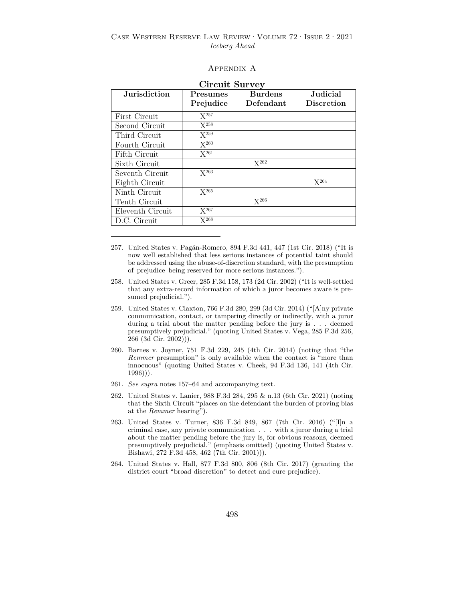## Appendix A

| <b>Jurisdiction</b> | Presumes<br>Prejudice | <b>Burdens</b><br>Defendant | Judicial<br><b>Discretion</b> |
|---------------------|-----------------------|-----------------------------|-------------------------------|
|                     |                       |                             |                               |
| First Circuit       | $X^{257}$             |                             |                               |
| Second Circuit      | $X^{258}$             |                             |                               |
| Third Circuit       | $X^{259}$             |                             |                               |
| Fourth Circuit      | $X^{260}$             |                             |                               |
| Fifth Circuit       | $X^{261}$             |                             |                               |
| Sixth Circuit       |                       | $X^{262}$                   |                               |
| Seventh Circuit     | $X^{263}$             |                             |                               |
| Eighth Circuit      |                       |                             | $X^{264}$                     |
| Ninth Circuit       | $X^{265}$             |                             |                               |
| Tenth Circuit       |                       | $X^{266}$                   |                               |
| Eleventh Circuit    | $X^{267}$             |                             |                               |
| D.C. Circuit        | $X^{268}$             |                             |                               |

| <b>Circuit Survey</b> |  |
|-----------------------|--|
|-----------------------|--|

- 258. United States v. Greer, 285 F.3d 158, 173 (2d Cir. 2002) ("It is well-settled that any extra-record information of which a juror becomes aware is presumed prejudicial.").
- 259. United States v. Claxton, 766 F.3d 280, 299 (3d Cir. 2014) ("[A]ny private communication, contact, or tampering directly or indirectly, with a juror during a trial about the matter pending before the jury is . . . deemed presumptively prejudicial." (quoting United States v. Vega, 285 F.3d 256,  $266$   $(3d$  Cir.  $2002)$ ).
- 260. Barnes v. Joyner, 751 F.3d 229, 245 (4th Cir. 2014) (noting that "the *Remmer* presumption" is only available when the contact is "more than innocuous" (quoting United States v. Cheek, 94 F.3d 136, 141 (4th Cir. 1996))).
- 261. *See supra* notes 157–64 and accompanying text.
- 262. United States v. Lanier, 988 F.3d 284, 295 & n.13 (6th Cir. 2021) (noting that the Sixth Circuit "places on the defendant the burden of proving bias at the *Remmer* hearing").
- 263. United States v. Turner, 836 F.3d 849, 867 (7th Cir. 2016) ("[I]n a criminal case, any private communication . . . with a juror during a trial about the matter pending before the jury is, for obvious reasons, deemed presumptively prejudicial." (emphasis omitted) (quoting United States v. Bishawi, 272 F.3d 458, 462 (7th Cir. 2001))).
- 264. United States v. Hall, 877 F.3d 800, 806 (8th Cir. 2017) (granting the district court "broad discretion" to detect and cure prejudice).

<sup>257.</sup> United States v. Pagán-Romero, 894 F.3d 441, 447 (1st Cir. 2018) ("It is now well established that less serious instances of potential taint should be addressed using the abuse-of-discretion standard, with the presumption of prejudice being reserved for more serious instances.").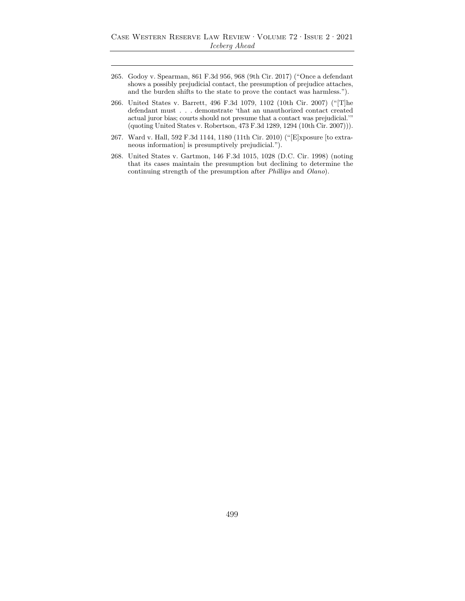- 265. Godoy v. Spearman, 861 F.3d 956, 968 (9th Cir. 2017) ("Once a defendant shows a possibly prejudicial contact, the presumption of prejudice attaches, and the burden shifts to the state to prove the contact was harmless.").
- 266. United States v. Barrett, 496 F.3d 1079, 1102 (10th Cir. 2007) ("[T]he defendant must . . . demonstrate 'that an unauthorized contact created actual juror bias; courts should not presume that a contact was prejudicial.'" (quoting United States v. Robertson, 473 F.3d 1289, 1294 (10th Cir. 2007))).
- 267. Ward v. Hall, 592 F.3d 1144, 1180 (11th Cir. 2010) ("[E]xposure [to extraneous information] is presumptively prejudicial.").
- 268. United States v. Gartmon, 146 F.3d 1015, 1028 (D.C. Cir. 1998) (noting that its cases maintain the presumption but declining to determine the continuing strength of the presumption after *Phillips* and *Olano*).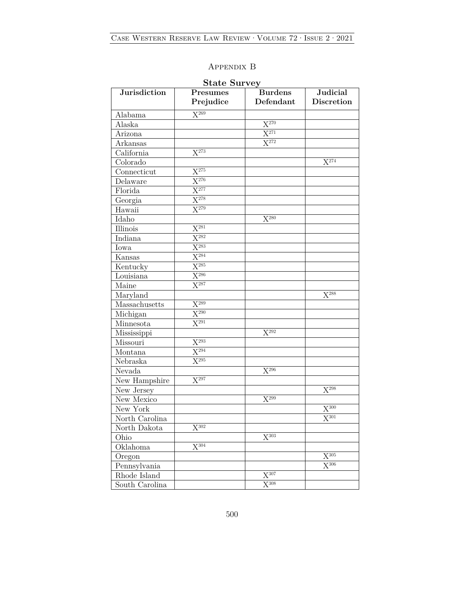## Appendix B

| Jurisdiction             | Presumes<br>Prejudice | <b>Burdens</b><br>Defendant | <b>Judicial</b><br><b>Discretion</b> |
|--------------------------|-----------------------|-----------------------------|--------------------------------------|
| Alabama                  | $\overline{X^{269}}$  |                             |                                      |
| Alaska                   |                       | $X^{270}$                   |                                      |
| Arizona                  |                       | $X^{271}$                   |                                      |
| Arkansas                 |                       | $X^{272}$                   |                                      |
| California               | $X^{273}$             |                             |                                      |
| Colorado                 |                       |                             | $X^{274}$                            |
| Connecticut              | $\overline{X^{275}}$  |                             |                                      |
| Delaware                 | $X^{276}$             |                             |                                      |
| Florida                  | $\overline{X^{277}}$  |                             |                                      |
| Georgia                  | $\overline{X^{278}}$  |                             |                                      |
| Hawaii                   | $\overline{X^{279}}$  |                             |                                      |
| Idaho                    |                       | $\mathbf{X}^{280}$          |                                      |
| Illinois                 | $X^{281}$             |                             |                                      |
| $\operatorname{Indiana}$ | $\overline{X^{282}}$  |                             |                                      |
| Iowa                     | $X^{283}$             |                             |                                      |
| Kansas                   | $X^{284}$             |                             |                                      |
| Kentucky                 | $X^{285}$             |                             |                                      |
| Louisiana                | $\overline{X^{286}}$  |                             |                                      |
| Maine                    | $\overline{X^{287}}$  |                             |                                      |
| Maryland                 |                       |                             | $X^{288}$                            |
| Massachusetts            | $X^{289}$             |                             |                                      |
| Michigan                 | $\mathbf{X}^{290}$    |                             |                                      |
| Minnesota                | $\overline{X^{291}}$  |                             |                                      |
| Mississippi              |                       | $X^{292}$                   |                                      |
| Missouri                 | $\overline{X^{293}}$  |                             |                                      |
| Montana                  | $\overline{X^{294}}$  |                             |                                      |
| Nebraska                 | $\mathbf{X}^{295}$    |                             |                                      |
| Nevada                   |                       | $X^{296}$                   |                                      |
| New Hampshire            | $X^{297}$             |                             |                                      |
| New Jersey               |                       |                             | $\mathrm{X}^{298}$                   |
| New Mexico               |                       | $X^{299}$                   |                                      |
| New York                 |                       |                             | $X^{300}$                            |
| North Carolina           |                       |                             | $\mathbf{X}^{301}$                   |
| North Dakota             | $\mathrm{X}^{302}$    |                             |                                      |
| Ohio                     |                       | $\overline{X^{303}}$        |                                      |
| Oklahoma                 | $X^{304}$             |                             |                                      |
| Oregon                   |                       |                             | $\mathbf{X}^{305}$                   |
| Pennsylvania             |                       |                             | $X^{306}$                            |
| Rhode Island             |                       | $\mathbf{X}^{307}$          |                                      |
| South Carolina           |                       | $\mathrm{X}^{308}$          |                                      |

## **State Survey**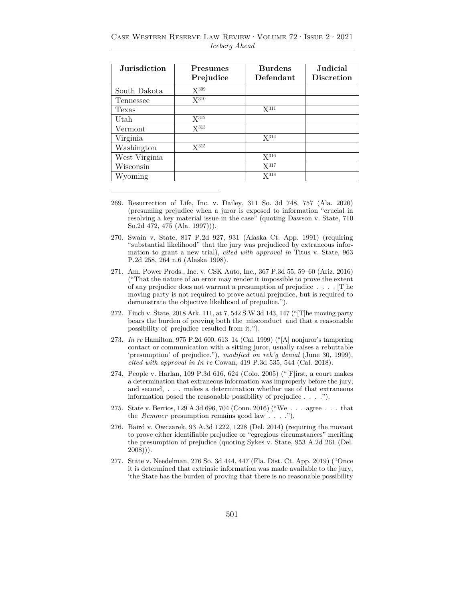| <b>Jurisdiction</b> | Presumes  | <b>Burdens</b>   | <b>Judicial</b>   |
|---------------------|-----------|------------------|-------------------|
|                     | Prejudice | Defendant        | <b>Discretion</b> |
| South Dakota        | $X^{309}$ |                  |                   |
| Tennessee           | $X^{310}$ |                  |                   |
| Texas               |           | $X^{311}$        |                   |
| Utah                | $X^{312}$ |                  |                   |
| Vermont             | $X^{313}$ |                  |                   |
| Virginia            |           | $X^{314}$        |                   |
| Washington          | $X^{315}$ |                  |                   |
| West Virginia       |           | $X^{316}$        |                   |
| Wisconsin           |           | X <sup>317</sup> |                   |
| Wyoming             |           | $X^{318}$        |                   |

Case Western Reserve Law Review·Volume 72·Issue 2·2021 *Iceberg Ahead* 

- 270. Swain v. State, 817 P.2d 927, 931 (Alaska Ct. App. 1991) (requiring "substantial likelihood" that the jury was prejudiced by extraneous information to grant a new trial), *cited with approval in* Titus v. State, 963 P.2d 258, 264 n.6 (Alaska 1998).
- 271. Am. Power Prods., Inc. v. CSK Auto, Inc., 367 P.3d 55, 59–60 (Ariz. 2016) ("That the nature of an error may render it impossible to prove the extent of any prejudice does not warrant a presumption of prejudice . . . . [T]he moving party is not required to prove actual prejudice, but is required to demonstrate the objective likelihood of prejudice.").
- 272. Finch v. State, 2018 Ark. 111, at 7, 542 S.W.3d 143, 147 ("[T]he moving party bears the burden of proving both the misconduct and that a reasonable possibility of prejudice resulted from it.").
- 273. *In re* Hamilton, 975 P.2d 600, 613–14 (Cal. 1999) ("[A] nonjuror's tampering contact or communication with a sitting juror, usually raises a rebuttable 'presumption' of prejudice."), *modified on reh'g denial* (June 30, 1999), *cited with approval in In re* Cowan, 419 P.3d 535, 544 (Cal. 2018).
- 274. People v. Harlan, 109 P.3d 616, 624 (Colo. 2005) ("[F]irst, a court makes a determination that extraneous information was improperly before the jury; and second, . . . makes a determination whether use of that extraneous information posed the reasonable possibility of prejudice . . . .").
- 275. State v. Berrios, 129 A.3d 696, 704 (Conn. 2016) ("We . . . agree . . . that the *Remmer* presumption remains good law . . . .").
- 276. Baird v. Owczarek, 93 A.3d 1222, 1228 (Del. 2014) (requiring the movant to prove either identifiable prejudice or "egregious circumstances" meriting the presumption of prejudice (quoting Sykes v. State, 953 A.2d 261 (Del.  $2008$ )).
- 277. State v. Needelman, 276 So. 3d 444, 447 (Fla. Dist. Ct. App. 2019) ("Once it is determined that extrinsic information was made available to the jury, 'the State has the burden of proving that there is no reasonable possibility

<sup>269.</sup> Resurrection of Life, Inc. v. Dailey, 311 So. 3d 748, 757 (Ala. 2020) (presuming prejudice when a juror is exposed to information "crucial in resolving a key material issue in the case" (quoting Dawson v. State, 710 So.2d 472, 475 (Ala. 1997))).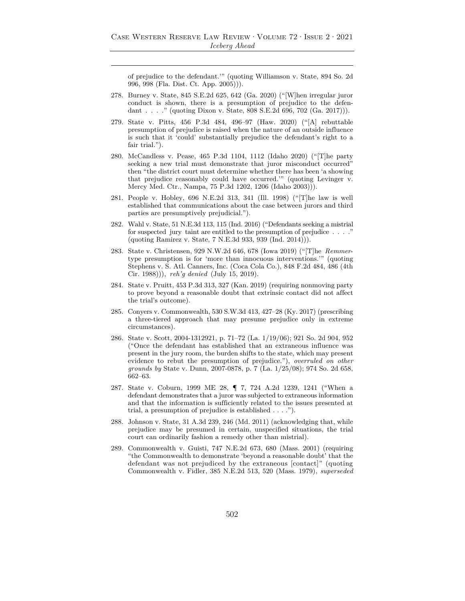of prejudice to the defendant.'" (quoting Williamson v. State, 894 So. 2d 996, 998 (Fla. Dist. Ct. App. 2005))).

- 278. Burney v. State, 845 S.E.2d 625, 642 (Ga. 2020) ("[W]hen irregular juror conduct is shown, there is a presumption of prejudice to the defendant . . . ." (quoting Dixon v. State, 808 S.E.2d 696, 702 (Ga. 2017))).
- 279. State v. Pitts, 456 P.3d 484, 496–97 (Haw. 2020) ("[A] rebuttable presumption of prejudice is raised when the nature of an outside influence is such that it 'could' substantially prejudice the defendant's right to a fair trial.").
- 280. McCandless v. Pease, 465 P.3d 1104, 1112 (Idaho 2020) ("[T]he party seeking a new trial must demonstrate that juror misconduct occurred" then "the district court must determine whether there has been 'a showing that prejudice reasonably could have occurred.'" (quoting Levinger v. Mercy Med. Ctr., Nampa, 75 P.3d 1202, 1206 (Idaho 2003))).
- 281. People v. Hobley, 696 N.E.2d 313, 341 (Ill. 1998) ("[T]he law is well established that communications about the case between jurors and third parties are presumptively prejudicial.").
- 282. Wahl v. State, 51 N.E.3d 113, 115 (Ind. 2016) ("Defendants seeking a mistrial for suspected jury taint are entitled to the presumption of prejudice . . . ." (quoting Ramirez v. State, 7 N.E.3d 933, 939 (Ind. 2014))).
- 283. State v. Christensen, 929 N.W.2d 646, 678 (Iowa 2019) ("[T]he *Remmer*type presumption is for 'more than innocuous interventions.'" (quoting Stephens v. S. Atl. Canners, Inc. (Coca Cola Co.), 848 F.2d 484, 486 (4th Cir. 1988))), *reh'g denied* (July 15, 2019).
- 284. State v. Pruitt, 453 P.3d 313, 327 (Kan. 2019) (requiring nonmoving party to prove beyond a reasonable doubt that extrinsic contact did not affect the trial's outcome).
- 285. Conyers v. Commonwealth, 530 S.W.3d 413, 427–28 (Ky. 2017) (prescribing a three-tiered approach that may presume prejudice only in extreme circumstances).
- 286. State v. Scott, 2004-1312921, p. 71–72 (La. 1/19/06); 921 So. 2d 904, 952 ("Once the defendant has established that an extraneous influence was present in the jury room, the burden shifts to the state, which may present evidence to rebut the presumption of prejudice."), *overruled on other grounds by* State v. Dunn, 2007-0878, p. 7 (La. 1/25/08); 974 So. 2d 658, 662–63.
- 287. State v. Coburn, 1999 ME 28, ¶ 7, 724 A.2d 1239, 1241 ("When a defendant demonstrates that a juror was subjected to extraneous information and that the information is sufficiently related to the issues presented at trial, a presumption of prejudice is established . . . .").
- 288. Johnson v. State, 31 A.3d 239, 246 (Md. 2011) (acknowledging that, while prejudice may be presumed in certain, unspecified situations, the trial court can ordinarily fashion a remedy other than mistrial).
- 289. Commonwealth v. Guisti, 747 N.E.2d 673, 680 (Mass. 2001) (requiring "the Commonwealth to demonstrate 'beyond a reasonable doubt' that the defendant was not prejudiced by the extraneous [contact]" (quoting Commonwealth v. Fidler, 385 N.E.2d 513, 520 (Mass. 1979), *superseded*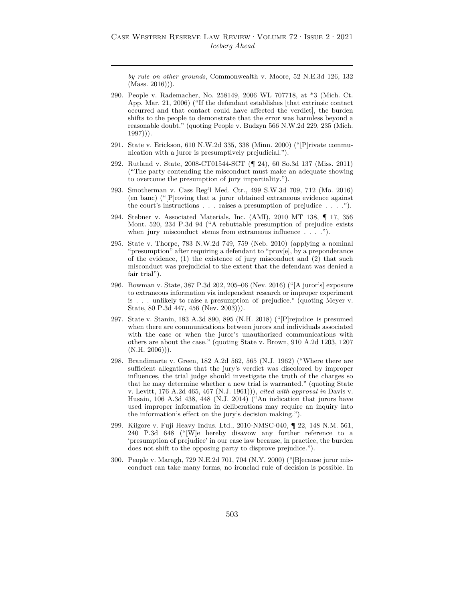*by rule on other grounds*, Commonwealth v. Moore, 52 N.E.3d 126, 132  $(Mass. 2016))$ .

- 290. People v. Rademacher, No. 258149, 2006 WL 707718, at \*3 (Mich. Ct. App. Mar. 21, 2006) ("If the defendant establishes [that extrinsic contact occurred and that contact could have affected the verdict], the burden shifts to the people to demonstrate that the error was harmless beyond a reasonable doubt." (quoting People v. Budzyn 566 N.W.2d 229, 235 (Mich.  $1997$ )).
- 291. State v. Erickson, 610 N.W.2d 335, 338 (Minn. 2000) ("[P]rivate communication with a juror is presumptively prejudicial.").
- 292. Rutland v. State, 2008-CT01544-SCT (¶ 24), 60 So.3d 137 (Miss. 2011) ("The party contending the misconduct must make an adequate showing to overcome the presumption of jury impartiality.").
- 293. Smotherman v. Cass Reg'l Med. Ctr., 499 S.W.3d 709, 712 (Mo. 2016) (en banc) ("[P]roving that a juror obtained extraneous evidence against the court's instructions  $\ldots$  raises a presumption of prejudice  $\ldots$ .").
- 294. Stebner v. Associated Materials, Inc. (AMI), 2010 MT 138, ¶ 17, 356 Mont. 520, 234 P.3d 94 ("A rebuttable presumption of prejudice exists when jury misconduct stems from extraneous influence . . . .").
- 295. State v. Thorpe, 783 N.W.2d 749, 759 (Neb. 2010) (applying a nominal "presumption" after requiring a defendant to "prov[e], by a preponderance of the evidence, (1) the existence of jury misconduct and (2) that such misconduct was prejudicial to the extent that the defendant was denied a fair trial").
- 296. Bowman v. State, 387 P.3d 202, 205–06 (Nev. 2016) ("[A juror's] exposure to extraneous information via independent research or improper experiment is . . . unlikely to raise a presumption of prejudice." (quoting Meyer v. State, 80 P.3d 447, 456 (Nev. 2003))).
- 297. State v. Stanin, 183 A.3d 890, 895 (N.H. 2018) ("[P]rejudice is presumed when there are communications between jurors and individuals associated with the case or when the juror's unauthorized communications with others are about the case." (quoting State v. Brown, 910 A.2d 1203, 1207  $(N.H. 2006))$ .
- 298. Brandimarte v. Green, 182 A.2d 562, 565 (N.J. 1962) ("Where there are sufficient allegations that the jury's verdict was discolored by improper influences, the trial judge should investigate the truth of the charges so that he may determine whether a new trial is warranted." (quoting State v. Levitt, 176 A.2d 465, 467 (N.J. 1961))), *cited with approval in* Davis v. Husain, 106 A.3d 438, 448 (N.J. 2014) ("An indication that jurors have used improper information in deliberations may require an inquiry into the information's effect on the jury's decision making.").
- 299. Kilgore v. Fuji Heavy Indus. Ltd., 2010-NMSC-040, ¶ 22, 148 N.M. 561, 240 P.3d 648 ("[W]e hereby disavow any further reference to a 'presumption of prejudice' in our case law because, in practice, the burden does not shift to the opposing party to disprove prejudice.").
- 300. People v. Maragh, 729 N.E.2d 701, 704 (N.Y. 2000) ("[B]ecause juror misconduct can take many forms, no ironclad rule of decision is possible. In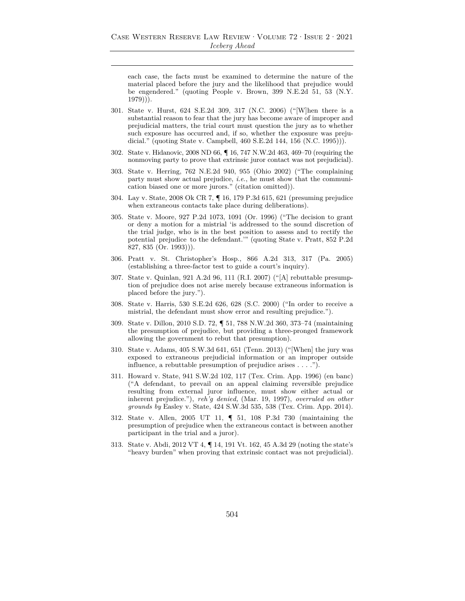each case, the facts must be examined to determine the nature of the material placed before the jury and the likelihood that prejudice would be engendered." (quoting People v. Brown, 399 N.E.2d 51, 53 (N.Y. 1979))).

- 301. State v. Hurst, 624 S.E.2d 309, 317 (N.C. 2006) ("[W]hen there is a substantial reason to fear that the jury has become aware of improper and prejudicial matters, the trial court must question the jury as to whether such exposure has occurred and, if so, whether the exposure was prejudicial." (quoting State v. Campbell, 460 S.E.2d 144, 156 (N.C. 1995))).
- 302. State v. Hidanovic, 2008 ND 66, ¶ 16, 747 N.W.2d 463, 469–70 (requiring the nonmoving party to prove that extrinsic juror contact was not prejudicial).
- 303. State v. Herring, 762 N.E.2d 940, 955 (Ohio 2002) ("The complaining party must show actual prejudice, *i.e.*, he must show that the communication biased one or more jurors." (citation omitted)).
- 304. Lay v. State, 2008 Ok CR 7, ¶ 16, 179 P.3d 615, 621 (presuming prejudice when extraneous contacts take place during deliberations).
- 305. State v. Moore, 927 P.2d 1073, 1091 (Or. 1996) ("The decision to grant or deny a motion for a mistrial 'is addressed to the sound discretion of the trial judge, who is in the best position to assess and to rectify the potential prejudice to the defendant.'" (quoting State v. Pratt, 852 P.2d 827, 835 (Or. 1993))).
- 306. Pratt v. St. Christopher's Hosp., 866 A.2d 313, 317 (Pa. 2005) (establishing a three-factor test to guide a court's inquiry).
- 307. State v. Quinlan, 921 A.2d 96, 111 (R.I. 2007) ("[A] rebuttable presumption of prejudice does not arise merely because extraneous information is placed before the jury.").
- 308. State v. Harris, 530 S.E.2d 626, 628 (S.C. 2000) ("In order to receive a mistrial, the defendant must show error and resulting prejudice.").
- 309. State v. Dillon, 2010 S.D. 72, ¶ 51, 788 N.W.2d 360, 373–74 (maintaining the presumption of prejudice, but providing a three-pronged framework allowing the government to rebut that presumption).
- 310. State v. Adams, 405 S.W.3d 641, 651 (Tenn. 2013) ("[When] the jury was exposed to extraneous prejudicial information or an improper outside influence, a rebuttable presumption of prejudice arises . . . .").
- 311. Howard v. State, 941 S.W.2d 102, 117 (Tex. Crim. App. 1996) (en banc) ("A defendant, to prevail on an appeal claiming reversible prejudice resulting from external juror influence, must show either actual or inherent prejudice."), *reh'g denied,* (Mar. 19, 1997), *overruled on other grounds by* Easley v. State, 424 S.W.3d 535, 538 (Tex. Crim. App. 2014).
- 312. State v. Allen, 2005 UT 11, ¶ 51, 108 P.3d 730 (maintaining the presumption of prejudice when the extraneous contact is between another participant in the trial and a juror).
- 313. State v. Abdi, 2012 VT 4, ¶ 14, 191 Vt. 162, 45 A.3d 29 (noting the state's "heavy burden" when proving that extrinsic contact was not prejudicial).